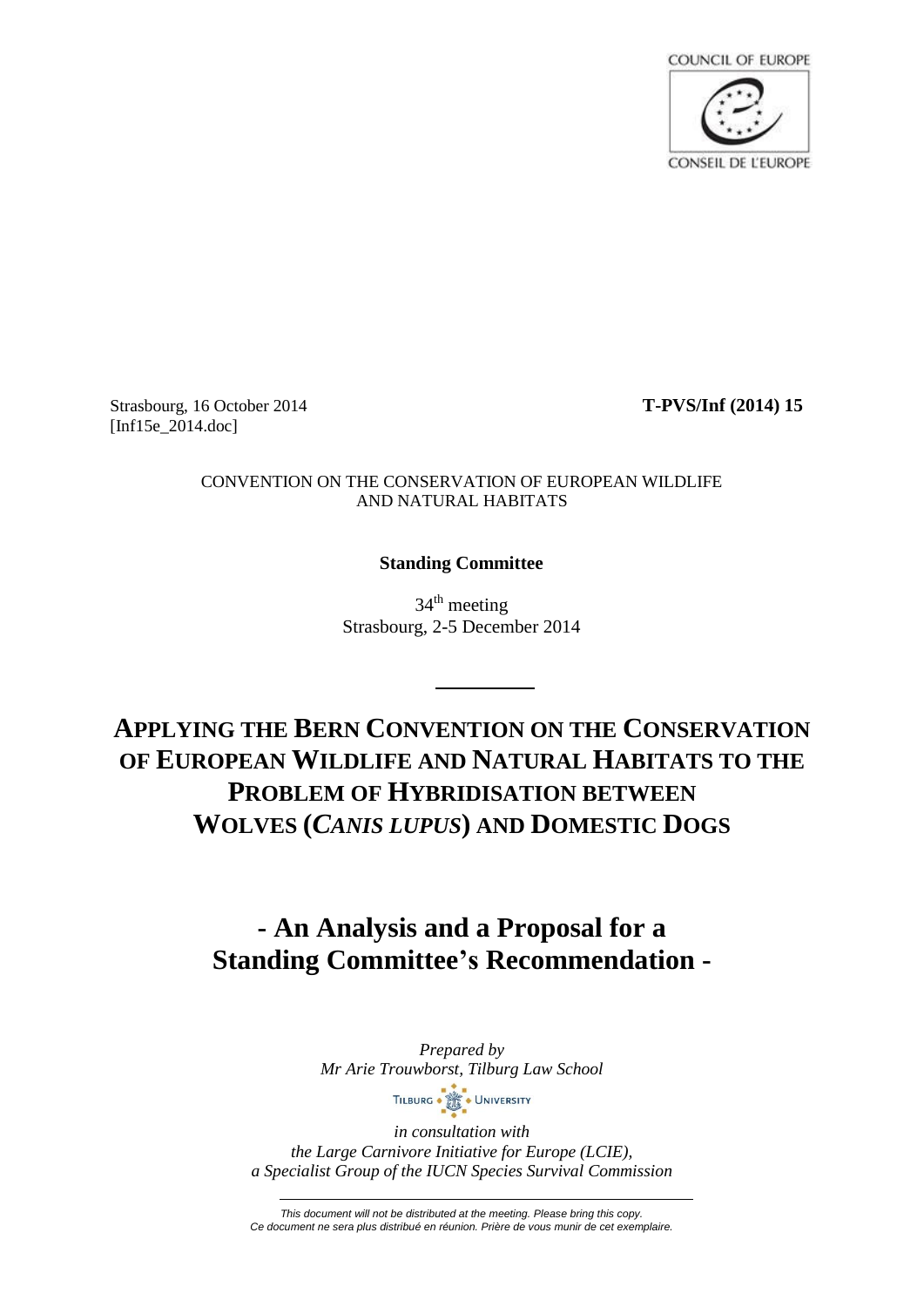

Strasbourg, 16 October 2014 **T-PVS/Inf (2014) 15** [Inf15e 2014.doc]

#### CONVENTION ON THE CONSERVATION OF EUROPEAN WILDLIFE AND NATURAL HABITATS

# **Standing Committee**

34<sup>th</sup> meeting Strasbourg, 2-5 December 2014

**APPLYING THE BERN CONVENTION ON THE CONSERVATION OF EUROPEAN WILDLIFE AND NATURAL HABITATS TO THE PROBLEM OF HYBRIDISATION BETWEEN WOLVES (***CANIS LUPUS***) AND DOMESTIC DOGS**

# **- An Analysis and a Proposal for a Standing Committee's Recommendation -**

*Prepared by Mr Arie Trouwborst, Tilburg Law School* TILBURG . SALE . UNIVERSITY

*in consultation with the Large Carnivore Initiative for Europe (LCIE), a Specialist Group of the IUCN Species Survival Commission*

*This document will not be distributed at the meeting. Please bring this copy. Ce document ne sera plus distribué en réunion. Prière de vous munir de cet exemplaire.*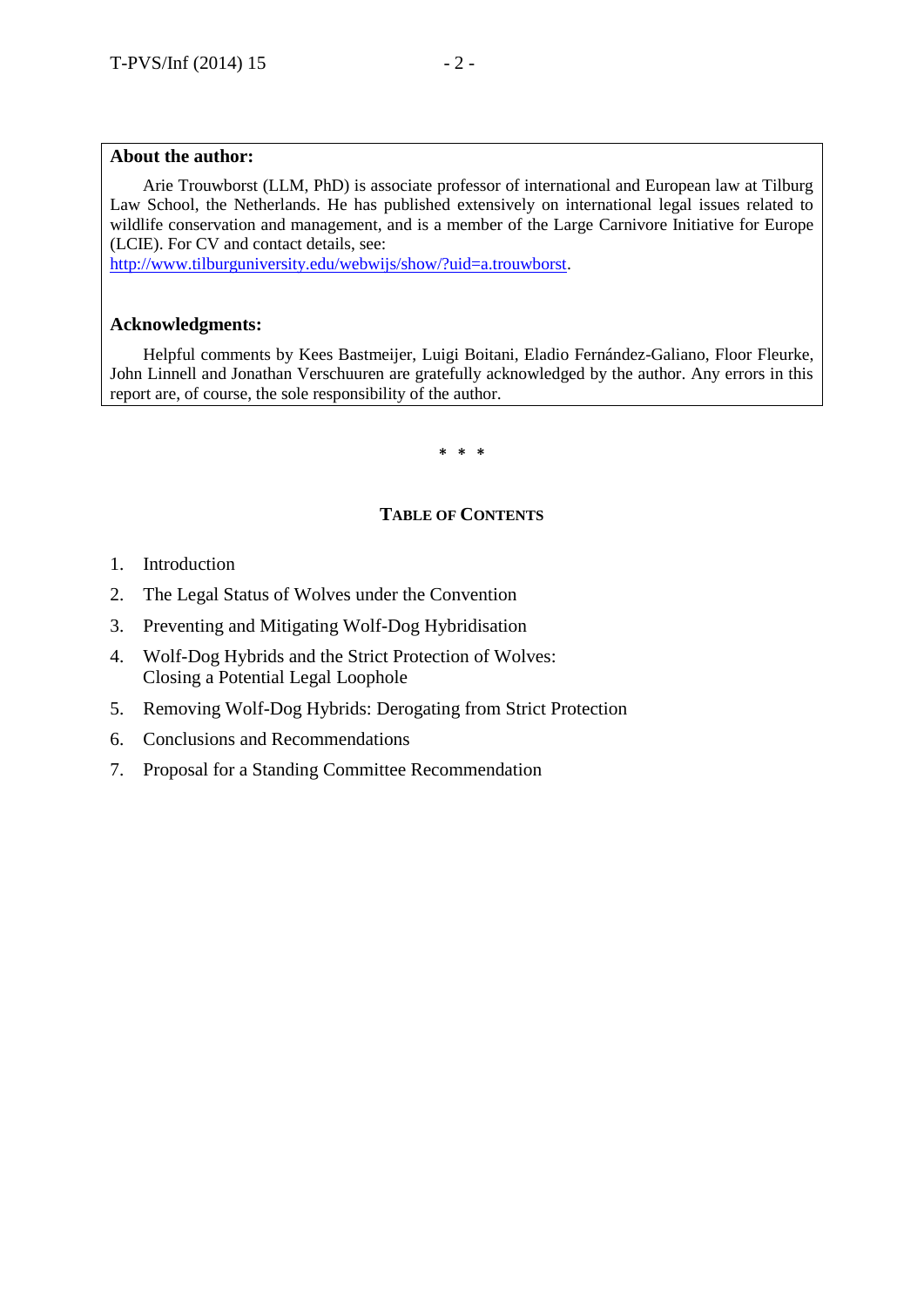#### **About the author:**

Arie Trouwborst (LLM, PhD) is associate professor of international and European law at Tilburg Law School, the Netherlands. He has published extensively on international legal issues related to wildlife conservation and management, and is a member of the Large Carnivore Initiative for Europe (LCIE). For CV and contact details, see:

[http://www.tilburguniversity.edu/webwijs/show/?uid=a.trouwborst.](http://www.tilburguniversity.edu/webwijs/show/?uid=a.trouwborst)

## **Acknowledgments:**

Helpful comments by Kees Bastmeijer, Luigi Boitani, Eladio Fernández-Galiano, Floor Fleurke, John Linnell and Jonathan Verschuuren are gratefully acknowledged by the author. Any errors in this report are, of course, the sole responsibility of the author.

#### **\* \* \***

## **TABLE OF CONTENTS**

- 1. Introduction
- 2. The Legal Status of Wolves under the Convention
- 3. Preventing and Mitigating Wolf-Dog Hybridisation
- 4. Wolf-Dog Hybrids and the Strict Protection of Wolves: Closing a Potential Legal Loophole
- 5. Removing Wolf-Dog Hybrids: Derogating from Strict Protection
- 6. Conclusions and Recommendations
- 7. Proposal for a Standing Committee Recommendation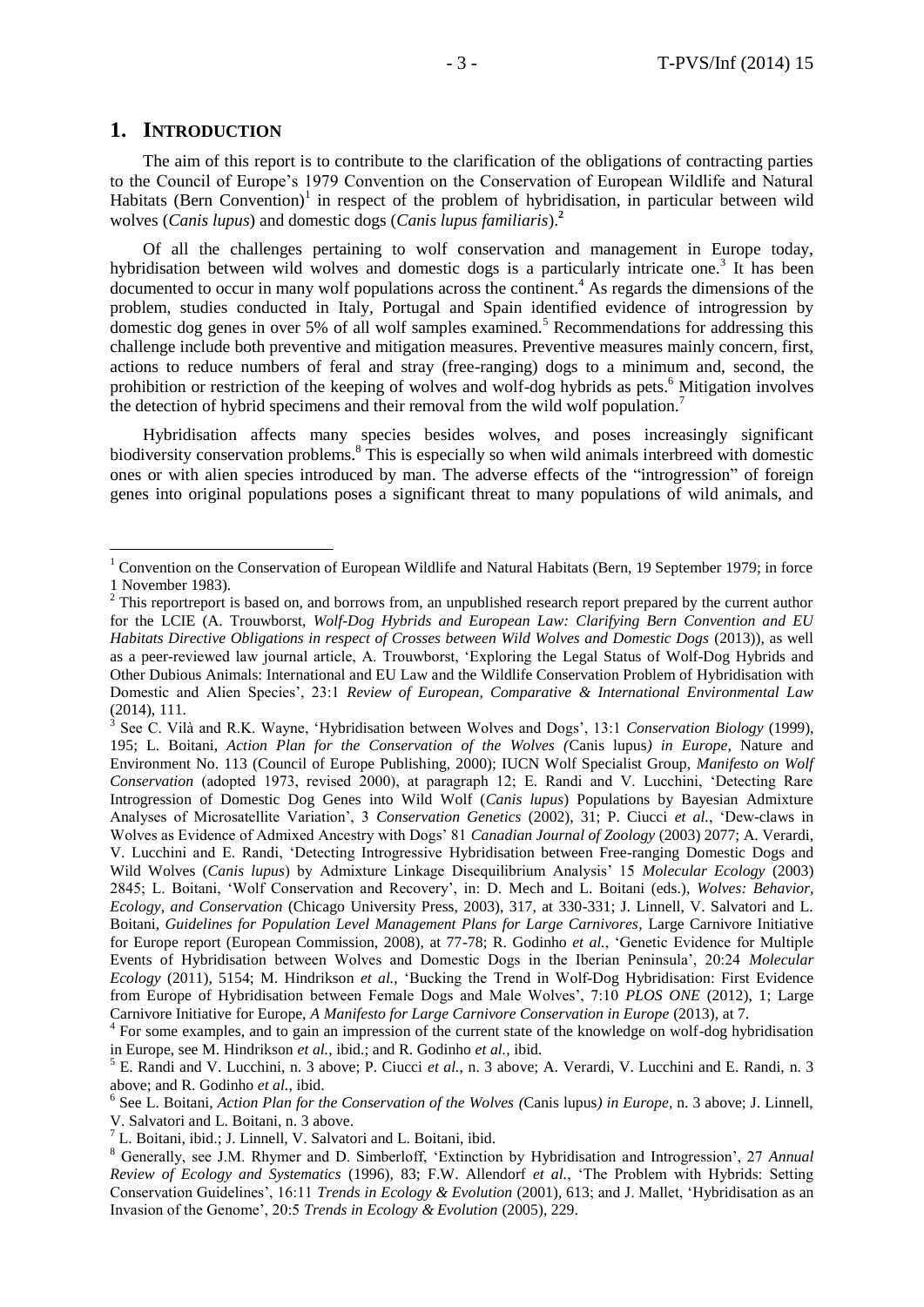## **1. INTRODUCTION**

 $\overline{a}$ 

The aim of this report is to contribute to the clarification of the obligations of contracting parties to the Council of Europe's 1979 Convention on the Conservation of European Wildlife and Natural Habitats (Bern Convention)<sup>1</sup> in respect of the problem of hybridisation, in particular between wild wolves (*Canis lupus*) and domestic dogs (*Canis lupus familiaris*).**<sup>2</sup>**

Of all the challenges pertaining to wolf conservation and management in Europe today, hybridisation between wild wolves and domestic dogs is a particularly intricate one.<sup>3</sup> It has been  $\alpha$  documented to occur in many wolf populations across the continent.<sup>4</sup> As regards the dimensions of the problem, studies conducted in Italy, Portugal and Spain identified evidence of introgression by domestic dog genes in over 5% of all wolf samples examined.<sup>5</sup> Recommendations for addressing this challenge include both preventive and mitigation measures. Preventive measures mainly concern, first, actions to reduce numbers of feral and stray (free-ranging) dogs to a minimum and, second, the prohibition or restriction of the keeping of wolves and wolf-dog hybrids as pets.<sup>6</sup> Mitigation involves the detection of hybrid specimens and their removal from the wild wolf population.<sup>7</sup>

Hybridisation affects many species besides wolves, and poses increasingly significant biodiversity conservation problems.<sup>8</sup> This is especially so when wild animals interbreed with domestic ones or with alien species introduced by man. The adverse effects of the "introgression" of foreign genes into original populations poses a significant threat to many populations of wild animals, and

<sup>&</sup>lt;sup>1</sup> Convention on the Conservation of European Wildlife and Natural Habitats (Bern, 19 September 1979; in force 1 November 1983).

 $2$  This reportreport is based on, and borrows from, an unpublished research report prepared by the current author for the LCIE (A. Trouwborst, *Wolf-Dog Hybrids and European Law: Clarifying Bern Convention and EU Habitats Directive Obligations in respect of Crosses between Wild Wolves and Domestic Dogs* (2013)), as well as a peer-reviewed law journal article, A. Trouwborst, 'Exploring the Legal Status of Wolf-Dog Hybrids and Other Dubious Animals: International and EU Law and the Wildlife Conservation Problem of Hybridisation with Domestic and Alien Species', 23:1 *Review of European, Comparative & International Environmental Law*  $(2014), 111.$ <sup>3</sup> See C. Vil.

See C. Vilà and R.K. Wayne, 'Hybridisation between Wolves and Dogs', 13:1 *Conservation Biology* (1999), 195; L. Boitani, *Action Plan for the Conservation of the Wolves (*Canis lupus*) in Europe*, Nature and Environment No. 113 (Council of Europe Publishing, 2000); IUCN Wolf Specialist Group, *Manifesto on Wolf Conservation* (adopted 1973, revised 2000), at paragraph 12; E. Randi and V. Lucchini, 'Detecting Rare Introgression of Domestic Dog Genes into Wild Wolf (*Canis lupus*) Populations by Bayesian Admixture Analyses of Microsatellite Variation', 3 *Conservation Genetics* (2002), 31; P. Ciucci *et al.*, 'Dew-claws in Wolves as Evidence of Admixed Ancestry with Dogs' 81 *Canadian Journal of Zoology* (2003) 2077; A. Verardi, V. Lucchini and E. Randi, 'Detecting Introgressive Hybridisation between Free-ranging Domestic Dogs and Wild Wolves (*Canis lupus*) by Admixture Linkage Disequilibrium Analysis' 15 *Molecular Ecology* (2003) 2845; L. Boitani, 'Wolf Conservation and Recovery', in: D. Mech and L. Boitani (eds.), *Wolves: Behavior, Ecology, and Conservation* (Chicago University Press, 2003), 317, at 330-331; J. Linnell, V. Salvatori and L. Boitani, *Guidelines for Population Level Management Plans for Large Carnivores*, Large Carnivore Initiative for Europe report (European Commission, 2008), at 77-78; R. Godinho *et al.*, 'Genetic Evidence for Multiple Events of Hybridisation between Wolves and Domestic Dogs in the Iberian Peninsula', 20:24 *Molecular Ecology* (2011), 5154; M. Hindrikson *et al.*, 'Bucking the Trend in Wolf-Dog Hybridisation: First Evidence from Europe of Hybridisation between Female Dogs and Male Wolves', 7:10 *PLOS ONE* (2012), 1; Large Carnivore Initiative for Europe, *A Manifesto for Large Carnivore Conservation in Europe* (2013), at 7.

<sup>&</sup>lt;sup>4</sup> For some examples, and to gain an impression of the current state of the knowledge on wolf-dog hybridisation in Europe, see M. Hindrikson *et al.*, ibid.; and R. Godinho *et al.*, ibid.

<sup>5</sup> E. Randi and V. Lucchini, n. 3 above; P. Ciucci *et al.*, n. 3 above; A. Verardi, V. Lucchini and E. Randi, n. 3 above; and R. Godinho *et al.*, ibid.

<sup>6</sup> See L. Boitani, *Action Plan for the Conservation of the Wolves (*Canis lupus*) in Europe*, n. 3 above; J. Linnell, V. Salvatori and L. Boitani, n. 3 above.

 $<sup>7</sup>$  L. Boitani, ibid.; J. Linnell, V. Salvatori and L. Boitani, ibid.</sup>

<sup>8</sup> Generally, see J.M. Rhymer and D. Simberloff, 'Extinction by Hybridisation and Introgression', 27 *Annual Review of Ecology and Systematics* (1996), 83; F.W. Allendorf *et al.*, 'The Problem with Hybrids: Setting Conservation Guidelines', 16:11 *Trends in Ecology & Evolution* (2001), 613; and J. Mallet, 'Hybridisation as an Invasion of the Genome', 20:5 *Trends in Ecology & Evolution* (2005), 229.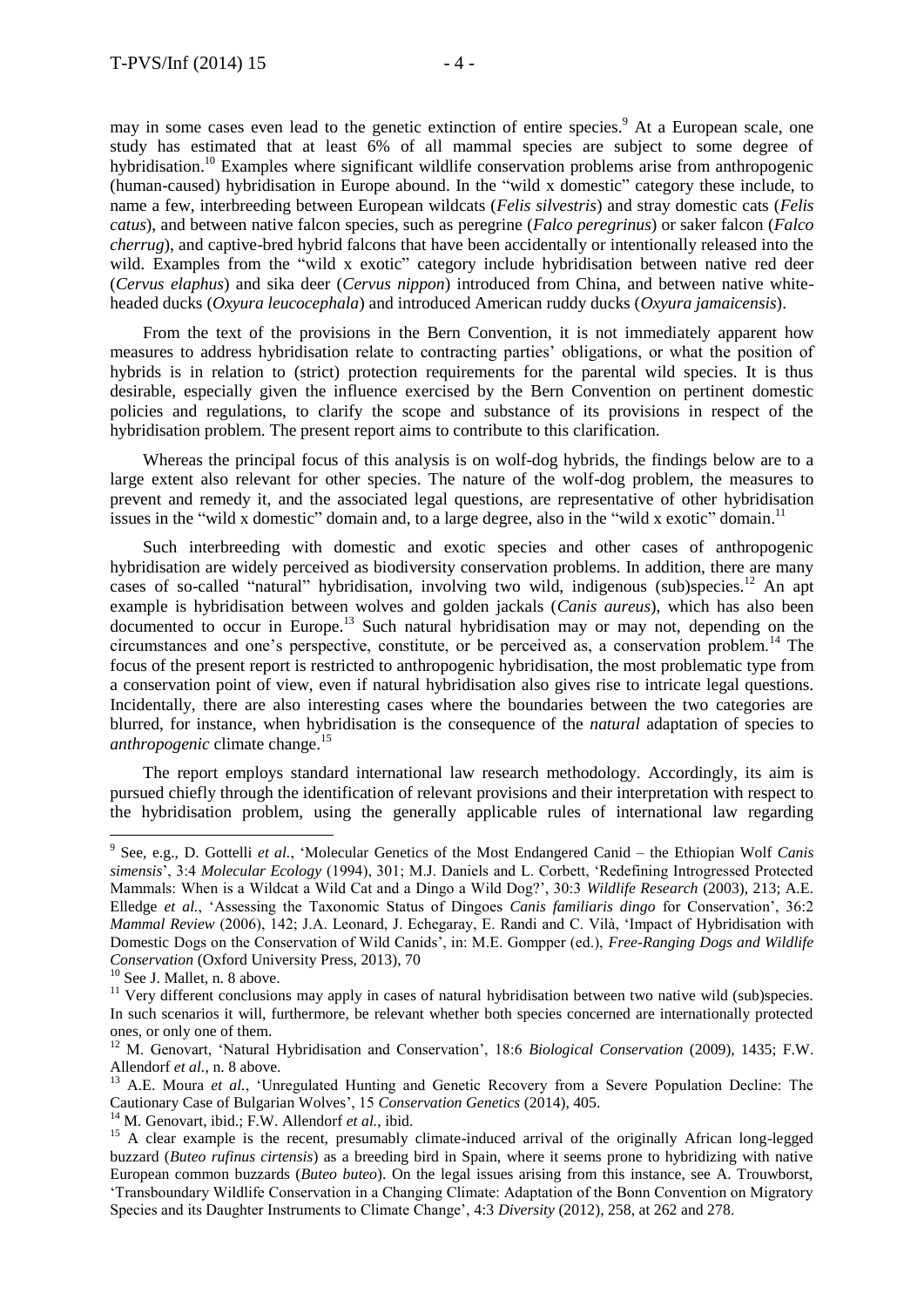may in some cases even lead to the genetic extinction of entire species.<sup>9</sup> At a European scale, one study has estimated that at least 6% of all mammal species are subject to some degree of hybridisation.<sup>10</sup> Examples where significant wildlife conservation problems arise from anthropogenic (human-caused) hybridisation in Europe abound. In the "wild x domestic" category these include, to name a few, interbreeding between European wildcats (*Felis silvestris*) and stray domestic cats (*Felis catus*), and between native falcon species, such as peregrine (*Falco peregrinus*) or saker falcon (*Falco cherrug*), and captive-bred hybrid falcons that have been accidentally or intentionally released into the wild. Examples from the "wild x exotic" category include hybridisation between native red deer (*Cervus elaphus*) and sika deer (*Cervus nippon*) introduced from China, and between native whiteheaded ducks (*Oxyura leucocephala*) and introduced American ruddy ducks (*Oxyura jamaicensis*).

From the text of the provisions in the Bern Convention, it is not immediately apparent how measures to address hybridisation relate to contracting parties' obligations, or what the position of hybrids is in relation to (strict) protection requirements for the parental wild species. It is thus desirable, especially given the influence exercised by the Bern Convention on pertinent domestic policies and regulations, to clarify the scope and substance of its provisions in respect of the hybridisation problem. The present report aims to contribute to this clarification.

Whereas the principal focus of this analysis is on wolf-dog hybrids, the findings below are to a large extent also relevant for other species. The nature of the wolf-dog problem, the measures to prevent and remedy it, and the associated legal questions, are representative of other hybridisation issues in the "wild x domestic" domain and, to a large degree, also in the "wild x exotic" domain.<sup>11</sup>

Such interbreeding with domestic and exotic species and other cases of anthropogenic hybridisation are widely perceived as biodiversity conservation problems. In addition, there are many cases of so-called "natural" hybridisation, involving two wild, indigenous (sub)species.<sup>12</sup> An apt example is hybridisation between wolves and golden jackals (*Canis aureus*), which has also been documented to occur in Europe.<sup>13</sup> Such natural hybridisation may or may not, depending on the circumstances and one's perspective, constitute, or be perceived as, a conservation problem.<sup>14</sup> The focus of the present report is restricted to anthropogenic hybridisation, the most problematic type from a conservation point of view, even if natural hybridisation also gives rise to intricate legal questions. Incidentally, there are also interesting cases where the boundaries between the two categories are blurred, for instance, when hybridisation is the consequence of the *natural* adaptation of species to *anthropogenic* climate change.<sup>15</sup>

The report employs standard international law research methodology. Accordingly, its aim is pursued chiefly through the identification of relevant provisions and their interpretation with respect to the hybridisation problem, using the generally applicable rules of international law regarding

<sup>9</sup> See, e.g., D. Gottelli *et al.*, 'Molecular Genetics of the Most Endangered Canid – the Ethiopian Wolf *Canis simensis*', 3:4 *Molecular Ecology* (1994), 301; M.J. Daniels and L. Corbett, 'Redefining Introgressed Protected Mammals: When is a Wildcat a Wild Cat and a Dingo a Wild Dog?', 30:3 *Wildlife Research* (2003), 213; A.E. Elledge *et al.*, 'Assessing the Taxonomic Status of Dingoes *Canis familiaris dingo* for Conservation', 36:2 *Mammal Review* (2006), 142; J.A. Leonard, J. Echegaray, E. Randi and C. Vilà, 'Impact of Hybridisation with Domestic Dogs on the Conservation of Wild Canids', in: M.E. Gompper (ed.), *Free-Ranging Dogs and Wildlife Conservation* (Oxford University Press, 2013), 70

<sup>&</sup>lt;sup>10</sup> See J. Mallet, n. 8 above.

 $11$  Very different conclusions may apply in cases of natural hybridisation between two native wild (sub)species. In such scenarios it will, furthermore, be relevant whether both species concerned are internationally protected ones, or only one of them.

<sup>12</sup> M. Genovart, 'Natural Hybridisation and Conservation', 18:6 *Biological Conservation* (2009), 1435; F.W. Allendorf *et al.*, n. 8 above.

<sup>&</sup>lt;sup>13</sup> A.E. Moura *et al.*, 'Unregulated Hunting and Genetic Recovery from a Severe Population Decline: The Cautionary Case of Bulgarian Wolves', 15 *Conservation Genetics* (2014), 405.

<sup>&</sup>lt;sup>14</sup> M. Genovart, ibid.; F.W. Allendorf *et al.*, ibid.

<sup>&</sup>lt;sup>15</sup> A clear example is the recent, presumably climate-induced arrival of the originally African long-legged buzzard (*Buteo rufinus cirtensis*) as a breeding bird in Spain, where it seems prone to hybridizing with native European common buzzards (*Buteo buteo*). On the legal issues arising from this instance, see A. Trouwborst, 'Transboundary Wildlife Conservation in a Changing Climate: Adaptation of the Bonn Convention on Migratory Species and its Daughter Instruments to Climate Change', 4:3 *Diversity* (2012), 258, at 262 and 278.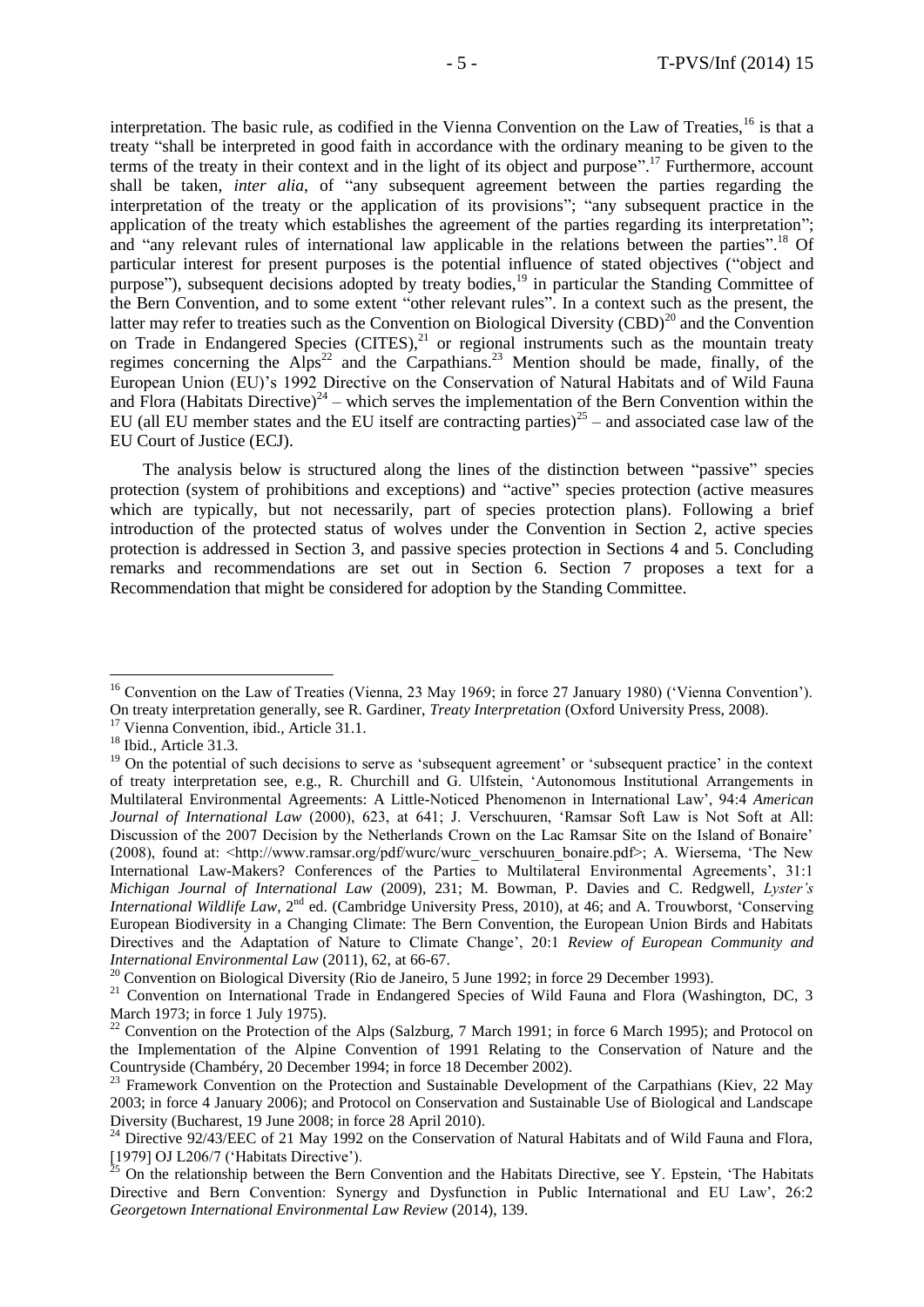interpretation. The basic rule, as codified in the Vienna Convention on the Law of Treaties,<sup>16</sup> is that a treaty "shall be interpreted in good faith in accordance with the ordinary meaning to be given to the terms of the treaty in their context and in the light of its object and purpose". <sup>17</sup> Furthermore, account shall be taken, *inter alia*, of "any subsequent agreement between the parties regarding the interpretation of the treaty or the application of its provisions"; "any subsequent practice in the application of the treaty which establishes the agreement of the parties regarding its interpretation"; and "any relevant rules of international law applicable in the relations between the parties".<sup>18</sup> Of particular interest for present purposes is the potential influence of stated objectives ("object and purpose"), subsequent decisions adopted by treaty bodies, $19$  in particular the Standing Committee of the Bern Convention, and to some extent "other relevant rules". In a context such as the present, the latter may refer to treaties such as the Convention on Biological Diversity (CBD)<sup>20</sup> and the Convention on Trade in Endangered Species  $(CITES)<sup>21</sup>$  or regional instruments such as the mountain treaty regimes concerning the Alps<sup>22</sup> and the Carpathians.<sup>23</sup> Mention should be made, finally, of the European Union (EU)'s 1992 Directive on the Conservation of Natural Habitats and of Wild Fauna and Flora (Habitats Directive)<sup>24</sup> – which serves the implementation of the Bern Convention within the EU (all EU member states and the EU itself are contracting parties)<sup>25</sup> – and associated case law of the EU Court of Justice (ECJ).

The analysis below is structured along the lines of the distinction between "passive" species protection (system of prohibitions and exceptions) and "active" species protection (active measures which are typically, but not necessarily, part of species protection plans). Following a brief introduction of the protected status of wolves under the Convention in Section 2, active species protection is addressed in Section 3, and passive species protection in Sections 4 and 5. Concluding remarks and recommendations are set out in Section 6. Section 7 proposes a text for a Recommendation that might be considered for adoption by the Standing Committee.

<sup>&</sup>lt;sup>16</sup> Convention on the Law of Treaties (Vienna, 23 May 1969; in force 27 January 1980) ('Vienna Convention'). On treaty interpretation generally, see R. Gardiner, *Treaty Interpretation* (Oxford University Press, 2008).

<sup>&</sup>lt;sup>17</sup> Vienna Convention, ibid., Article 31.1.

<sup>&</sup>lt;sup>18</sup> Ibid., Article 31.3.

<sup>&</sup>lt;sup>19</sup> On the potential of such decisions to serve as 'subsequent agreement' or 'subsequent practice' in the context of treaty interpretation see, e.g., R. Churchill and G. Ulfstein, 'Autonomous Institutional Arrangements in Multilateral Environmental Agreements: A Little-Noticed Phenomenon in International Law', 94:4 *American Journal of International Law* (2000), 623, at 641; J. Verschuuren, 'Ramsar Soft Law is Not Soft at All: Discussion of the 2007 Decision by the Netherlands Crown on the Lac Ramsar Site on the Island of Bonaire' (2008), found at: <http://www.ramsar.org/pdf/wurc/wurc\_verschuuren\_bonaire.pdf>; A. Wiersema, 'The New International Law-Makers? Conferences of the Parties to Multilateral Environmental Agreements', 31:1 *Michigan Journal of International Law* (2009), 231; M. Bowman, P. Davies and C. Redgwell, *Lyster's International Wildlife Law*, 2<sup>nd</sup> ed. (Cambridge University Press, 2010), at 46; and A. Trouwborst, 'Conserving European Biodiversity in a Changing Climate: The Bern Convention, the European Union Birds and Habitats Directives and the Adaptation of Nature to Climate Change', 20:1 *Review of European Community and International Environmental Law* (2011), 62, at 66-67.

 $20$  Convention on Biological Diversity (Rio de Janeiro, 5 June 1992; in force 29 December 1993).

<sup>&</sup>lt;sup>21</sup> Convention on International Trade in Endangered Species of Wild Fauna and Flora (Washington, DC, 3 March 1973; in force 1 July 1975).

<sup>&</sup>lt;sup>22</sup> Convention on the Protection of the Alps (Salzburg, 7 March 1991; in force 6 March 1995); and Protocol on the Implementation of the Alpine Convention of 1991 Relating to the Conservation of Nature and the Countryside (Chambéry, 20 December 1994; in force 18 December 2002).

<sup>&</sup>lt;sup>23</sup> Framework Convention on the Protection and Sustainable Development of the Carpathians (Kiev, 22 May 2003; in force 4 January 2006); and Protocol on Conservation and Sustainable Use of Biological and Landscape Diversity (Bucharest, 19 June 2008; in force 28 April 2010).

<sup>&</sup>lt;sup>24</sup> Directive 92/43/EEC of 21 May 1992 on the Conservation of Natural Habitats and of Wild Fauna and Flora, [1979] OJ L206/7 ('Habitats Directive').

 $^{25}$  On the relationship between the Bern Convention and the Habitats Directive, see Y. Epstein, 'The Habitats Directive and Bern Convention: Synergy and Dysfunction in Public International and EU Law', 26:2 *Georgetown International Environmental Law Review* (2014), 139.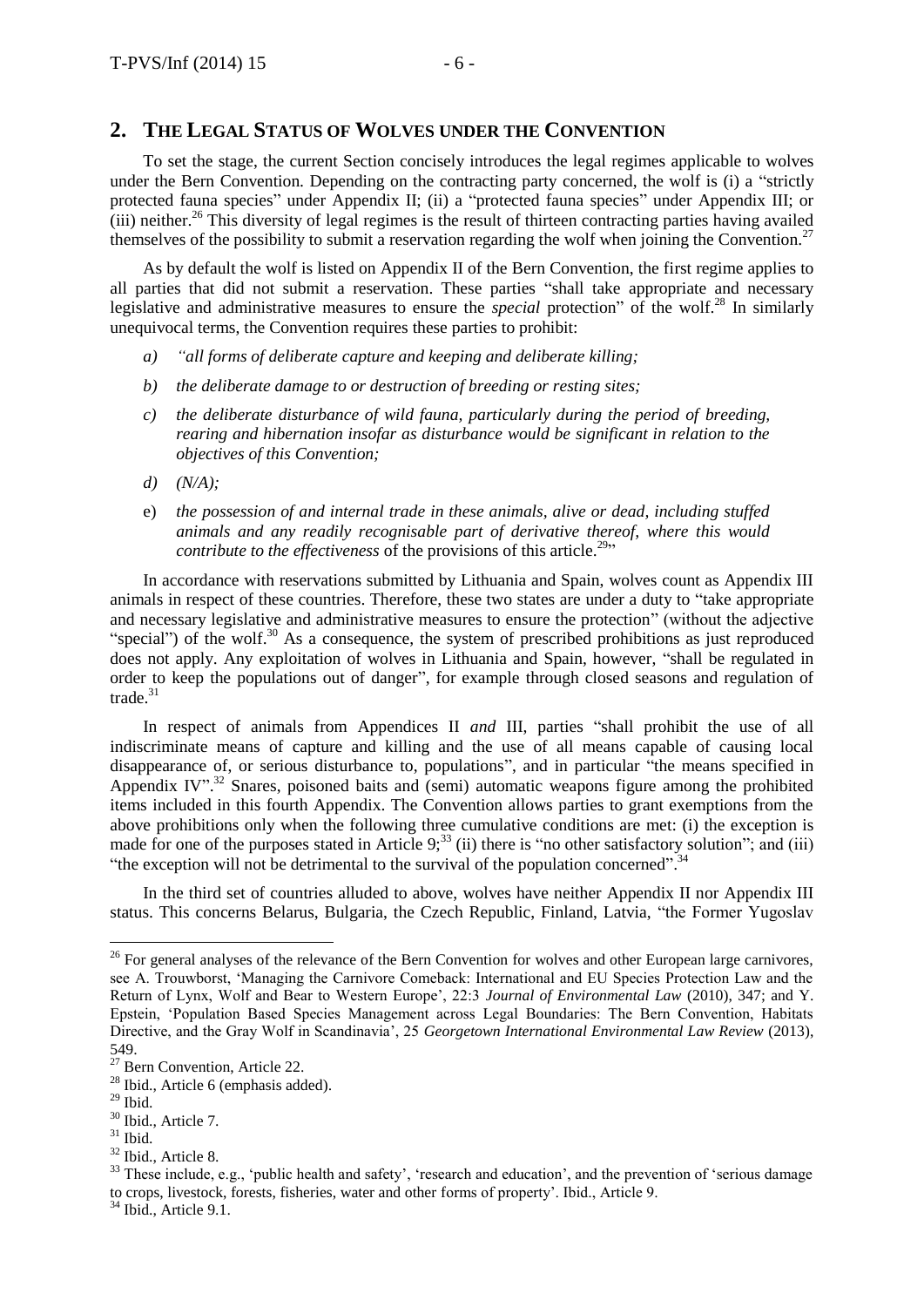# **2. THE LEGAL STATUS OF WOLVES UNDER THE CONVENTION**

To set the stage, the current Section concisely introduces the legal regimes applicable to wolves under the Bern Convention. Depending on the contracting party concerned, the wolf is (i) a "strictly protected fauna species" under Appendix II; (ii) a "protected fauna species" under Appendix III; or  $(iii)$  neither.<sup>26</sup> This diversity of legal regimes is the result of thirteen contracting parties having availed themselves of the possibility to submit a reservation regarding the wolf when joining the Convention.<sup>27</sup>

As by default the wolf is listed on Appendix II of the Bern Convention, the first regime applies to all parties that did not submit a reservation. These parties "shall take appropriate and necessary legislative and administrative measures to ensure the *special* protection" of the wolf.<sup>28</sup> In similarly unequivocal terms, the Convention requires these parties to prohibit:

- *a) "all forms of deliberate capture and keeping and deliberate killing;*
- *b) the deliberate damage to or destruction of breeding or resting sites;*
- *c) the deliberate disturbance of wild fauna, particularly during the period of breeding, rearing and hibernation insofar as disturbance would be significant in relation to the objectives of this Convention;*
- *d) (N/A);*
- e) *the possession of and internal trade in these animals, alive or dead, including stuffed animals and any readily recognisable part of derivative thereof, where this would contribute to the effectiveness* of the provisions of this article.<sup>29</sup>"

In accordance with reservations submitted by Lithuania and Spain, wolves count as Appendix III animals in respect of these countries. Therefore, these two states are under a duty to "take appropriate and necessary legislative and administrative measures to ensure the protection" (without the adjective "special") of the wolf.<sup>30</sup> As a consequence, the system of prescribed prohibitions as just reproduced does not apply. Any exploitation of wolves in Lithuania and Spain, however, "shall be regulated in order to keep the populations out of danger", for example through closed seasons and regulation of trade $^{31}$ 

In respect of animals from Appendices II *and* III, parties "shall prohibit the use of all indiscriminate means of capture and killing and the use of all means capable of causing local disappearance of, or serious disturbance to, populations", and in particular "the means specified in Appendix IV".<sup>32</sup> Snares, poisoned baits and (semi) automatic weapons figure among the prohibited items included in this fourth Appendix. The Convention allows parties to grant exemptions from the above prohibitions only when the following three cumulative conditions are met: (i) the exception is made for one of the purposes stated in Article  $9;^{33}$  (ii) there is "no other satisfactory solution"; and (iii) "the exception will not be detrimental to the survival of the population concerned".<sup>34</sup>

In the third set of countries alluded to above, wolves have neither Appendix II nor Appendix III status. This concerns Belarus, Bulgaria, the Czech Republic, Finland, Latvia, "the Former Yugoslav

<sup>&</sup>lt;sup>26</sup> For general analyses of the relevance of the Bern Convention for wolves and other European large carnivores, see A. Trouwborst, 'Managing the Carnivore Comeback: International and EU Species Protection Law and the Return of Lynx, Wolf and Bear to Western Europe', 22:3 *Journal of Environmental Law* (2010), 347; and Y. Epstein, 'Population Based Species Management across Legal Boundaries: The Bern Convention, Habitats Directive, and the Gray Wolf in Scandinavia', 25 *Georgetown International Environmental Law Review* (2013), 549.

<sup>&</sup>lt;sup>27</sup> Bern Convention, Article 22.

<sup>28</sup> Ibid., Article 6 (emphasis added).

 $29$  Ibid.

<sup>&</sup>lt;sup>30</sup> Ibid., Article 7.

 $31$  Ibid.

<sup>32</sup> Ibid., Article 8.

 $33$  These include, e.g., 'public health and safety', 'research and education', and the prevention of 'serious damage to crops, livestock, forests, fisheries, water and other forms of property'. Ibid., Article 9.

<sup>&</sup>lt;sup>34</sup> Ibid., Article 9.1.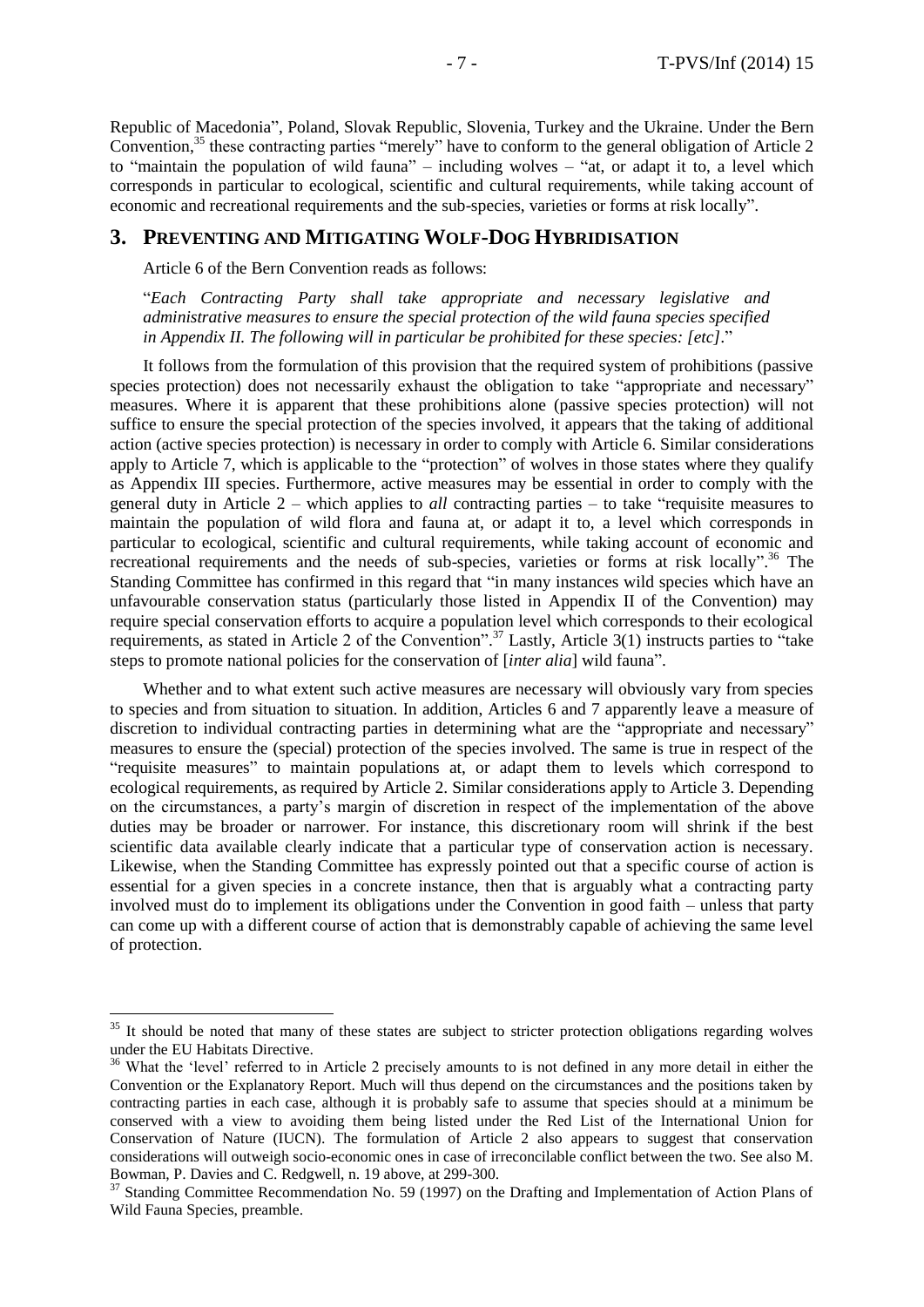Republic of Macedonia", Poland, Slovak Republic, Slovenia, Turkey and the Ukraine. Under the Bern Convention,<sup>35</sup> these contracting parties "merely" have to conform to the general obligation of Article 2 to "maintain the population of wild fauna" – including wolves – "at, or adapt it to, a level which corresponds in particular to ecological, scientific and cultural requirements, while taking account of economic and recreational requirements and the sub-species, varieties or forms at risk locally".

## **3. PREVENTING AND MITIGATING WOLF-DOG HYBRIDISATION**

Article 6 of the Bern Convention reads as follows:

 $\overline{a}$ 

"*Each Contracting Party shall take appropriate and necessary legislative and administrative measures to ensure the special protection of the wild fauna species specified in Appendix II. The following will in particular be prohibited for these species: [etc].*"

It follows from the formulation of this provision that the required system of prohibitions (passive species protection) does not necessarily exhaust the obligation to take "appropriate and necessary" measures. Where it is apparent that these prohibitions alone (passive species protection) will not suffice to ensure the special protection of the species involved, it appears that the taking of additional action (active species protection) is necessary in order to comply with Article 6. Similar considerations apply to Article 7, which is applicable to the "protection" of wolves in those states where they qualify as Appendix III species. Furthermore, active measures may be essential in order to comply with the general duty in Article 2 – which applies to *all* contracting parties – to take "requisite measures to maintain the population of wild flora and fauna at, or adapt it to, a level which corresponds in particular to ecological, scientific and cultural requirements, while taking account of economic and recreational requirements and the needs of sub-species, varieties or forms at risk locally".<sup>36</sup> The Standing Committee has confirmed in this regard that "in many instances wild species which have an unfavourable conservation status (particularly those listed in Appendix II of the Convention) may require special conservation efforts to acquire a population level which corresponds to their ecological requirements, as stated in Article 2 of the Convention".<sup>37</sup> Lastly, Article 3(1) instructs parties to "take steps to promote national policies for the conservation of [*inter alia*] wild fauna".

Whether and to what extent such active measures are necessary will obviously vary from species to species and from situation to situation. In addition, Articles 6 and 7 apparently leave a measure of discretion to individual contracting parties in determining what are the "appropriate and necessary" measures to ensure the (special) protection of the species involved. The same is true in respect of the "requisite measures" to maintain populations at, or adapt them to levels which correspond to ecological requirements, as required by Article 2. Similar considerations apply to Article 3. Depending on the circumstances, a party's margin of discretion in respect of the implementation of the above duties may be broader or narrower. For instance, this discretionary room will shrink if the best scientific data available clearly indicate that a particular type of conservation action is necessary. Likewise, when the Standing Committee has expressly pointed out that a specific course of action is essential for a given species in a concrete instance, then that is arguably what a contracting party involved must do to implement its obligations under the Convention in good faith – unless that party can come up with a different course of action that is demonstrably capable of achieving the same level of protection.

<sup>&</sup>lt;sup>35</sup> It should be noted that many of these states are subject to stricter protection obligations regarding wolves under the EU Habitats Directive.

<sup>&</sup>lt;sup>36</sup> What the 'level' referred to in Article 2 precisely amounts to is not defined in any more detail in either the Convention or the Explanatory Report. Much will thus depend on the circumstances and the positions taken by contracting parties in each case, although it is probably safe to assume that species should at a minimum be conserved with a view to avoiding them being listed under the Red List of the International Union for Conservation of Nature (IUCN). The formulation of Article 2 also appears to suggest that conservation considerations will outweigh socio-economic ones in case of irreconcilable conflict between the two. See also M. Bowman, P. Davies and C. Redgwell, n. 19 above, at 299-300.

<sup>&</sup>lt;sup>37</sup> Standing Committee Recommendation No. 59 (1997) on the Drafting and Implementation of Action Plans of Wild Fauna Species, preamble.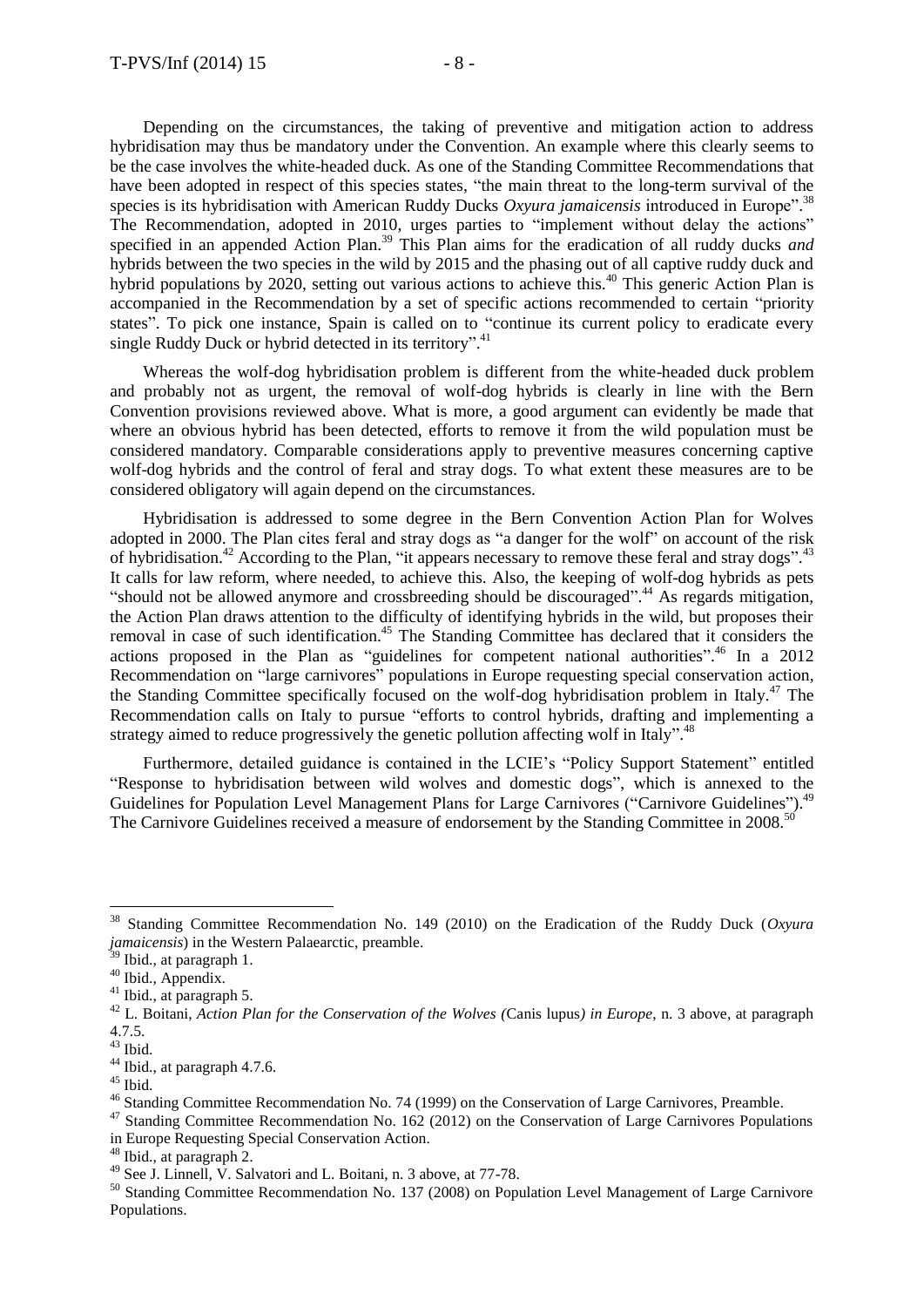Depending on the circumstances, the taking of preventive and mitigation action to address hybridisation may thus be mandatory under the Convention. An example where this clearly seems to be the case involves the white-headed duck. As one of the Standing Committee Recommendations that have been adopted in respect of this species states, "the main threat to the long-term survival of the species is its hybridisation with American Ruddy Ducks Oxyura jamaicensis introduced in Europe".<sup>38</sup> The Recommendation, adopted in 2010, urges parties to "implement without delay the actions" specified in an appended Action Plan.<sup>39</sup> This Plan aims for the eradication of all ruddy ducks *and* hybrids between the two species in the wild by 2015 and the phasing out of all captive ruddy duck and hybrid populations by 2020, setting out various actions to achieve this.<sup>40</sup> This generic Action Plan is accompanied in the Recommendation by a set of specific actions recommended to certain "priority states". To pick one instance, Spain is called on to "continue its current policy to eradicate every single Ruddy Duck or hybrid detected in its territory".<sup>41</sup>

Whereas the wolf-dog hybridisation problem is different from the white-headed duck problem and probably not as urgent, the removal of wolf-dog hybrids is clearly in line with the Bern Convention provisions reviewed above. What is more, a good argument can evidently be made that where an obvious hybrid has been detected, efforts to remove it from the wild population must be considered mandatory. Comparable considerations apply to preventive measures concerning captive wolf-dog hybrids and the control of feral and stray dogs. To what extent these measures are to be considered obligatory will again depend on the circumstances.

Hybridisation is addressed to some degree in the Bern Convention Action Plan for Wolves adopted in 2000. The Plan cites feral and stray dogs as "a danger for the wolf" on account of the risk of hybridisation.<sup>42</sup> According to the Plan, "it appears necessary to remove these feral and stray dogs".<sup>43</sup> It calls for law reform, where needed, to achieve this. Also, the keeping of wolf-dog hybrids as pets "should not be allowed anymore and crossbreeding should be discouraged".<sup>44</sup> As regards mitigation, the Action Plan draws attention to the difficulty of identifying hybrids in the wild, but proposes their removal in case of such identification.<sup>45</sup> The Standing Committee has declared that it considers the actions proposed in the Plan as "guidelines for competent national authorities". <sup>46</sup> In a 2012 Recommendation on "large carnivores" populations in Europe requesting special conservation action, the Standing Committee specifically focused on the wolf-dog hybridisation problem in Italy.<sup>47</sup> The Recommendation calls on Italy to pursue "efforts to control hybrids, drafting and implementing a strategy aimed to reduce progressively the genetic pollution affecting wolf in Italy".<sup>48</sup>

Furthermore, detailed guidance is contained in the LCIE's "Policy Support Statement" entitled "Response to hybridisation between wild wolves and domestic dogs", which is annexed to the Guidelines for Population Level Management Plans for Large Carnivores ("Carnivore Guidelines").<sup>49</sup> The Carnivore Guidelines received a measure of endorsement by the Standing Committee in 2008.<sup>50</sup>

<sup>38</sup> Standing Committee Recommendation No. 149 (2010) on the Eradication of the Ruddy Duck (*Oxyura jamaicensis*) in the Western Palaearctic, preamble.

 $\overrightarrow{a}$  Ibid., at paragraph 1.

<sup>&</sup>lt;sup>40</sup> Ibid., Appendix.

 $41$  Ibid., at paragraph 5.

<sup>42</sup> L. Boitani, *Action Plan for the Conservation of the Wolves (*Canis lupus*) in Europe*, n. 3 above, at paragraph 4.7.5.

 $^{43}$  Ibid.

<sup>&</sup>lt;sup>44</sup> Ibid., at paragraph 4.7.6.

<sup>&</sup>lt;sup>45</sup> Ibid.

<sup>46</sup> Standing Committee Recommendation No. 74 (1999) on the Conservation of Large Carnivores, Preamble.

<sup>&</sup>lt;sup>47</sup> Standing Committee Recommendation No. 162 (2012) on the Conservation of Large Carnivores Populations in Europe Requesting Special Conservation Action.

<sup>48</sup> Ibid., at paragraph 2.

 $49$  See J. Linnell, V. Salvatori and L. Boitani, n. 3 above, at 77-78.

<sup>&</sup>lt;sup>50</sup> Standing Committee Recommendation No. 137 (2008) on Population Level Management of Large Carnivore Populations.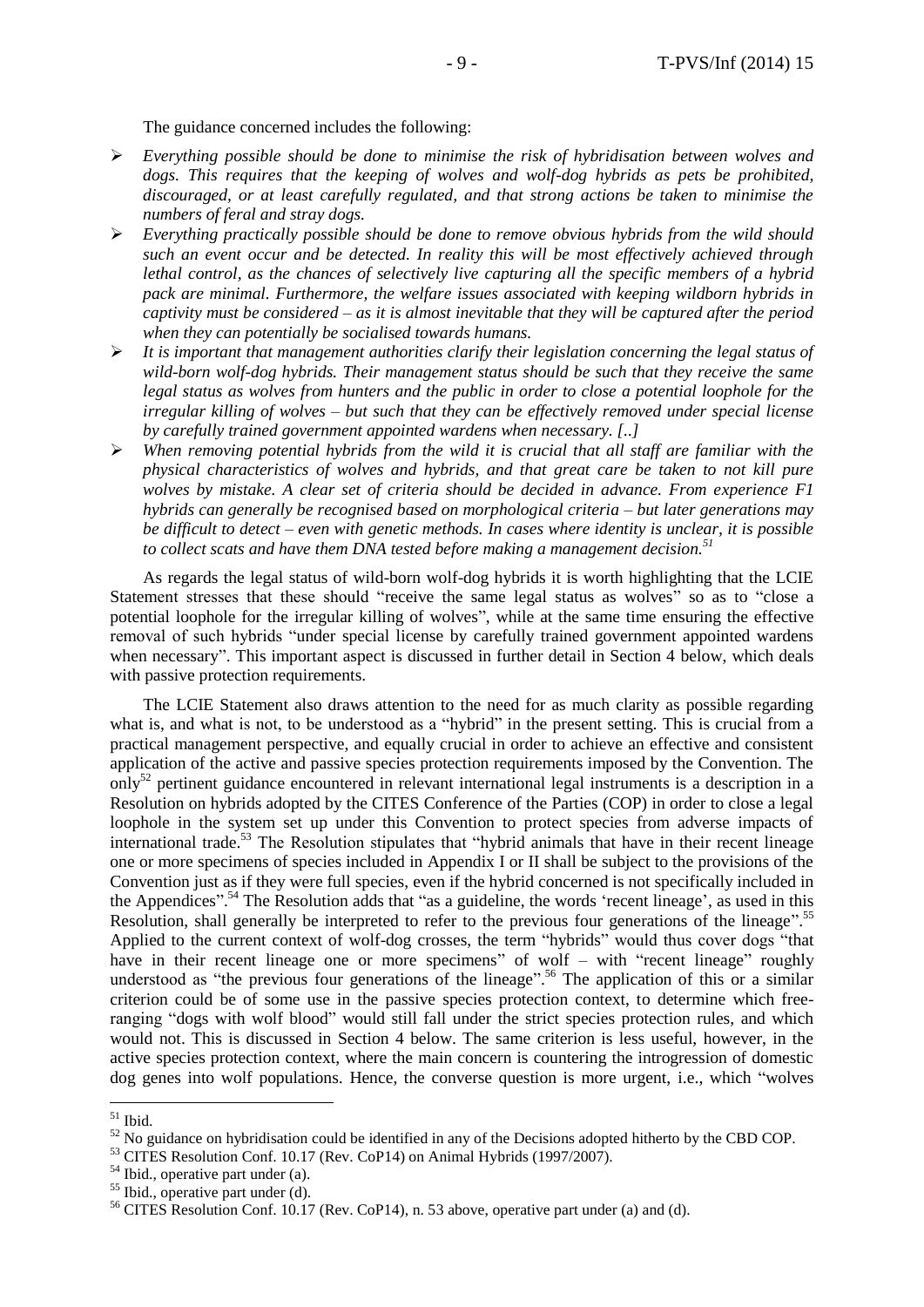The guidance concerned includes the following:

- *Everything possible should be done to minimise the risk of hybridisation between wolves and*  dogs. This requires that the keeping of wolves and wolf-dog hybrids as pets be prohibited, *discouraged, or at least carefully regulated, and that strong actions be taken to minimise the numbers of feral and stray dogs.*
- *Everything practically possible should be done to remove obvious hybrids from the wild should such an event occur and be detected. In reality this will be most effectively achieved through lethal control, as the chances of selectively live capturing all the specific members of a hybrid pack are minimal. Furthermore, the welfare issues associated with keeping wildborn hybrids in captivity must be considered – as it is almost inevitable that they will be captured after the period when they can potentially be socialised towards humans.*
- *It is important that management authorities clarify their legislation concerning the legal status of wild-born wolf-dog hybrids. Their management status should be such that they receive the same legal status as wolves from hunters and the public in order to close a potential loophole for the irregular killing of wolves – but such that they can be effectively removed under special license by carefully trained government appointed wardens when necessary. [..]*
- *When removing potential hybrids from the wild it is crucial that all staff are familiar with the physical characteristics of wolves and hybrids, and that great care be taken to not kill pure wolves by mistake. A clear set of criteria should be decided in advance. From experience F1 hybrids can generally be recognised based on morphological criteria – but later generations may be difficult to detect – even with genetic methods. In cases where identity is unclear, it is possible to collect scats and have them DNA tested before making a management decision.<sup>51</sup>*

As regards the legal status of wild-born wolf-dog hybrids it is worth highlighting that the LCIE Statement stresses that these should "receive the same legal status as wolves" so as to "close a potential loophole for the irregular killing of wolves", while at the same time ensuring the effective removal of such hybrids "under special license by carefully trained government appointed wardens when necessary". This important aspect is discussed in further detail in Section 4 below, which deals with passive protection requirements.

The LCIE Statement also draws attention to the need for as much clarity as possible regarding what is, and what is not, to be understood as a "hybrid" in the present setting. This is crucial from a practical management perspective, and equally crucial in order to achieve an effective and consistent application of the active and passive species protection requirements imposed by the Convention. The only<sup>52</sup> pertinent guidance encountered in relevant international legal instruments is a description in a Resolution on hybrids adopted by the CITES Conference of the Parties (COP) in order to close a legal loophole in the system set up under this Convention to protect species from adverse impacts of international trade.<sup>53</sup> The Resolution stipulates that "hybrid animals that have in their recent lineage one or more specimens of species included in Appendix I or II shall be subject to the provisions of the Convention just as if they were full species, even if the hybrid concerned is not specifically included in the Appendices".<sup>54</sup> The Resolution adds that "as a guideline, the words 'recent lineage', as used in this Resolution, shall generally be interpreted to refer to the previous four generations of the lineage".<sup>55</sup> Applied to the current context of wolf-dog crosses, the term "hybrids" would thus cover dogs "that have in their recent lineage one or more specimens" of wolf – with "recent lineage" roughly understood as "the previous four generations of the lineage".<sup>56</sup> The application of this or a similar criterion could be of some use in the passive species protection context, to determine which freeranging "dogs with wolf blood" would still fall under the strict species protection rules, and which would not. This is discussed in Section 4 below. The same criterion is less useful, however, in the active species protection context, where the main concern is countering the introgression of domestic dog genes into wolf populations. Hence, the converse question is more urgent, i.e., which "wolves

 $51$  Ibid.

<sup>&</sup>lt;sup>52</sup> No guidance on hybridisation could be identified in any of the Decisions adopted hitherto by the CBD COP.

<sup>&</sup>lt;sup>53</sup> CITES Resolution Conf. 10.17 (Rev. CoP14) on Animal Hybrids (1997/2007).

<sup>&</sup>lt;sup>54</sup> Ibid., operative part under (a).

<sup>&</sup>lt;sup>55</sup> Ibid., operative part under (d).

<sup>56</sup> CITES Resolution Conf. 10.17 (Rev. CoP14), n. 53 above, operative part under (a) and (d).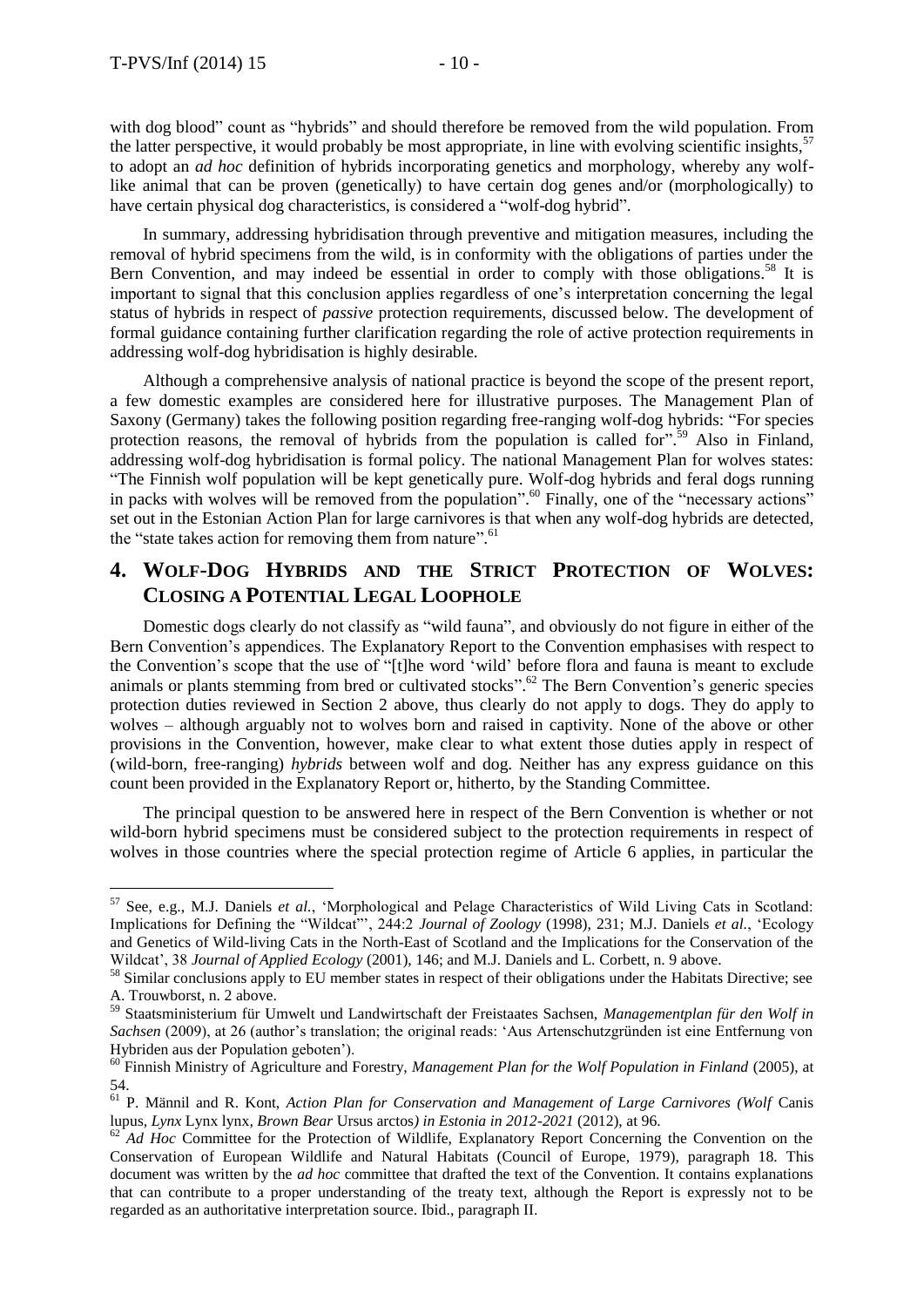$\overline{a}$ 

with dog blood" count as "hybrids" and should therefore be removed from the wild population. From the latter perspective, it would probably be most appropriate, in line with evolving scientific insights,<sup>57</sup> to adopt an *ad hoc* definition of hybrids incorporating genetics and morphology, whereby any wolflike animal that can be proven (genetically) to have certain dog genes and/or (morphologically) to have certain physical dog characteristics, is considered a "wolf-dog hybrid".

In summary, addressing hybridisation through preventive and mitigation measures, including the removal of hybrid specimens from the wild, is in conformity with the obligations of parties under the Bern Convention, and may indeed be essential in order to comply with those obligations.<sup>58</sup> It is important to signal that this conclusion applies regardless of one's interpretation concerning the legal status of hybrids in respect of *passive* protection requirements, discussed below. The development of formal guidance containing further clarification regarding the role of active protection requirements in addressing wolf-dog hybridisation is highly desirable.

Although a comprehensive analysis of national practice is beyond the scope of the present report, a few domestic examples are considered here for illustrative purposes. The Management Plan of Saxony (Germany) takes the following position regarding free-ranging wolf-dog hybrids: "For species protection reasons, the removal of hybrids from the population is called for".<sup>59</sup> Also in Finland, addressing wolf-dog hybridisation is formal policy. The national Management Plan for wolves states: "The Finnish wolf population will be kept genetically pure. Wolf-dog hybrids and feral dogs running in packs with wolves will be removed from the population". <sup>60</sup> Finally, one of the "necessary actions" set out in the Estonian Action Plan for large carnivores is that when any wolf-dog hybrids are detected, the "state takes action for removing them from nature".<sup>61</sup>

# **4. WOLF-DOG HYBRIDS AND THE STRICT PROTECTION OF WOLVES: CLOSING A POTENTIAL LEGAL LOOPHOLE**

Domestic dogs clearly do not classify as "wild fauna", and obviously do not figure in either of the Bern Convention's appendices. The Explanatory Report to the Convention emphasises with respect to the Convention's scope that the use of "[t]he word 'wild' before flora and fauna is meant to exclude animals or plants stemming from bred or cultivated stocks".<sup>62</sup> The Bern Convention's generic species protection duties reviewed in Section 2 above, thus clearly do not apply to dogs. They do apply to wolves – although arguably not to wolves born and raised in captivity. None of the above or other provisions in the Convention, however, make clear to what extent those duties apply in respect of (wild-born, free-ranging) *hybrids* between wolf and dog. Neither has any express guidance on this count been provided in the Explanatory Report or, hitherto, by the Standing Committee.

The principal question to be answered here in respect of the Bern Convention is whether or not wild-born hybrid specimens must be considered subject to the protection requirements in respect of wolves in those countries where the special protection regime of Article 6 applies, in particular the

<sup>57</sup> See, e.g., M.J. Daniels *et al.*, 'Morphological and Pelage Characteristics of Wild Living Cats in Scotland: Implications for Defining the "Wildcat"', 244:2 *Journal of Zoology* (1998), 231; M.J. Daniels *et al.*, 'Ecology and Genetics of Wild-living Cats in the North-East of Scotland and the Implications for the Conservation of the Wildcat', 38 *Journal of Applied Ecology* (2001), 146; and M.J. Daniels and L. Corbett, n. 9 above.

<sup>&</sup>lt;sup>58</sup> Similar conclusions apply to EU member states in respect of their obligations under the Habitats Directive; see A. Trouwborst, n. 2 above.

<sup>59</sup> Staatsministerium für Umwelt und Landwirtschaft der Freistaates Sachsen, *Managementplan für den Wolf in Sachsen* (2009), at 26 (author's translation; the original reads: 'Aus Artenschutzgründen ist eine Entfernung von Hybriden aus der Population geboten').

<sup>60</sup> Finnish Ministry of Agriculture and Forestry, *Management Plan for the Wolf Population in Finland* (2005), at 54.

<sup>61</sup> P. Männil and R. Kont, *Action Plan for Conservation and Management of Large Carnivores (Wolf* Canis lupus*, Lynx* Lynx lynx*, Brown Bear* Ursus arctos*) in Estonia in 2012-2021* (2012), at 96.

<sup>&</sup>lt;sup>62</sup> *Ad Hoc* Committee for the Protection of Wildlife, Explanatory Report Concerning the Convention on the Conservation of European Wildlife and Natural Habitats (Council of Europe, 1979), paragraph 18. This document was written by the *ad hoc* committee that drafted the text of the Convention. It contains explanations that can contribute to a proper understanding of the treaty text, although the Report is expressly not to be regarded as an authoritative interpretation source. Ibid., paragraph II.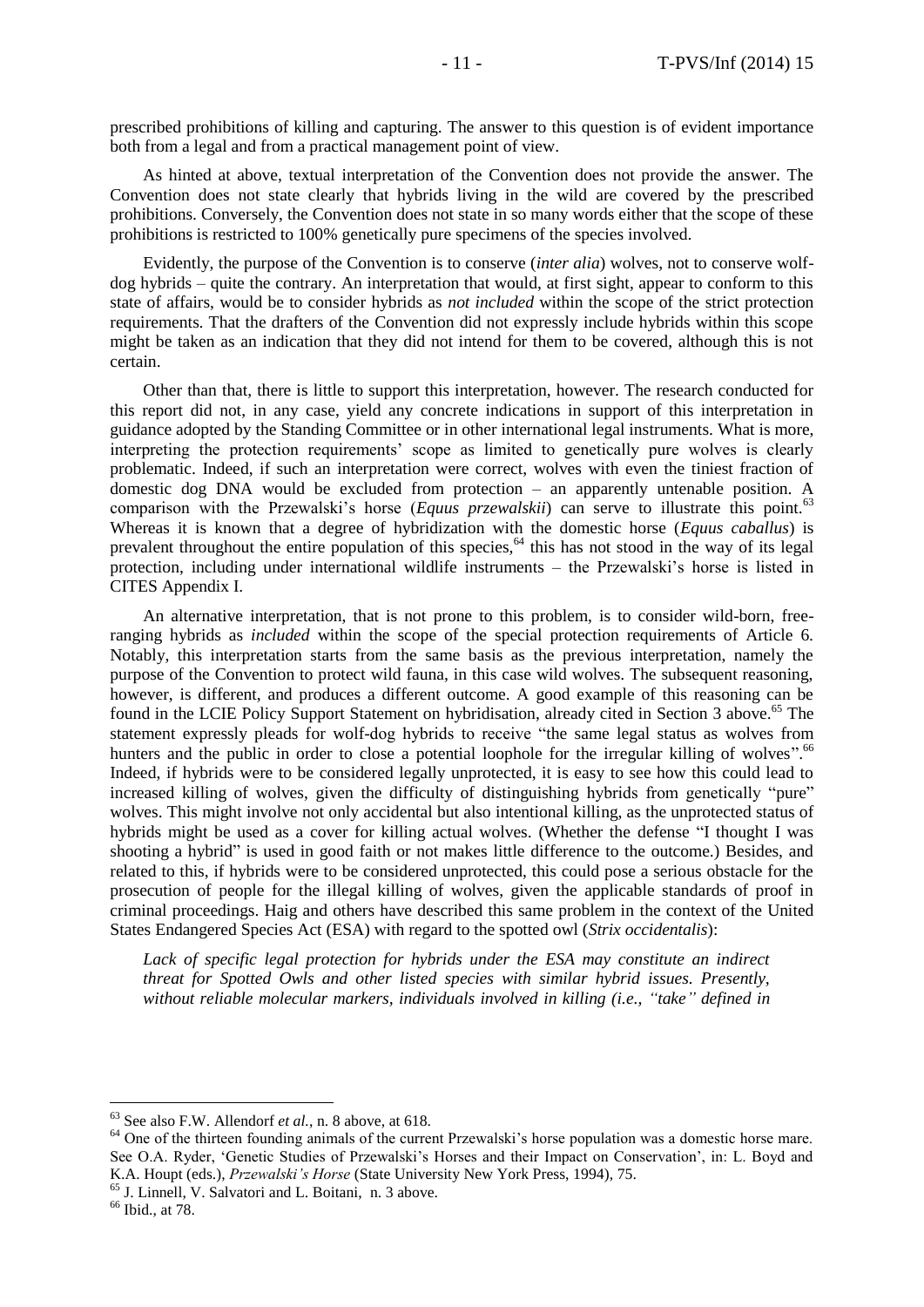prescribed prohibitions of killing and capturing. The answer to this question is of evident importance both from a legal and from a practical management point of view.

As hinted at above, textual interpretation of the Convention does not provide the answer. The Convention does not state clearly that hybrids living in the wild are covered by the prescribed prohibitions. Conversely, the Convention does not state in so many words either that the scope of these prohibitions is restricted to 100% genetically pure specimens of the species involved.

Evidently, the purpose of the Convention is to conserve (*inter alia*) wolves, not to conserve wolfdog hybrids – quite the contrary. An interpretation that would, at first sight, appear to conform to this state of affairs, would be to consider hybrids as *not included* within the scope of the strict protection requirements. That the drafters of the Convention did not expressly include hybrids within this scope might be taken as an indication that they did not intend for them to be covered, although this is not certain.

Other than that, there is little to support this interpretation, however. The research conducted for this report did not, in any case, yield any concrete indications in support of this interpretation in guidance adopted by the Standing Committee or in other international legal instruments. What is more, interpreting the protection requirements' scope as limited to genetically pure wolves is clearly problematic. Indeed, if such an interpretation were correct, wolves with even the tiniest fraction of domestic dog DNA would be excluded from protection – an apparently untenable position. A comparison with the Przewalski's horse (*Equus przewalskii*) can serve to illustrate this point.<sup>63</sup> Whereas it is known that a degree of hybridization with the domestic horse (*Equus caballus*) is prevalent throughout the entire population of this species, $64$  this has not stood in the way of its legal protection, including under international wildlife instruments – the Przewalski's horse is listed in CITES Appendix I.

An alternative interpretation, that is not prone to this problem, is to consider wild-born, freeranging hybrids as *included* within the scope of the special protection requirements of Article 6. Notably, this interpretation starts from the same basis as the previous interpretation, namely the purpose of the Convention to protect wild fauna, in this case wild wolves. The subsequent reasoning, however, is different, and produces a different outcome. A good example of this reasoning can be found in the LCIE Policy Support Statement on hybridisation, already cited in Section 3 above.<sup>65</sup> The statement expressly pleads for wolf-dog hybrids to receive "the same legal status as wolves from hunters and the public in order to close a potential loophole for the irregular killing of wolves".<sup>66</sup> Indeed, if hybrids were to be considered legally unprotected, it is easy to see how this could lead to increased killing of wolves, given the difficulty of distinguishing hybrids from genetically "pure" wolves. This might involve not only accidental but also intentional killing, as the unprotected status of hybrids might be used as a cover for killing actual wolves. (Whether the defense "I thought I was shooting a hybrid" is used in good faith or not makes little difference to the outcome.) Besides, and related to this, if hybrids were to be considered unprotected, this could pose a serious obstacle for the prosecution of people for the illegal killing of wolves, given the applicable standards of proof in criminal proceedings. Haig and others have described this same problem in the context of the United States Endangered Species Act (ESA) with regard to the spotted owl (*Strix occidentalis*):

Lack of specific legal protection for hybrids under the ESA may constitute an indirect *threat for Spotted Owls and other listed species with similar hybrid issues. Presently, without reliable molecular markers, individuals involved in killing (i.e., "take" defined in* 

<sup>66</sup> Ibid., at 78.

<sup>63</sup> See also F.W. Allendorf *et al.*, n. 8 above, at 618.

<sup>&</sup>lt;sup>64</sup> One of the thirteen founding animals of the current Przewalski's horse population was a domestic horse mare. See O.A. Ryder, 'Genetic Studies of Przewalski's Horses and their Impact on Conservation', in: L. Boyd and K.A. Houpt (eds.), *Przewalski's Horse* (State University New York Press, 1994), 75.

<sup>65</sup> J. Linnell, V. Salvatori and L. Boitani, n. 3 above.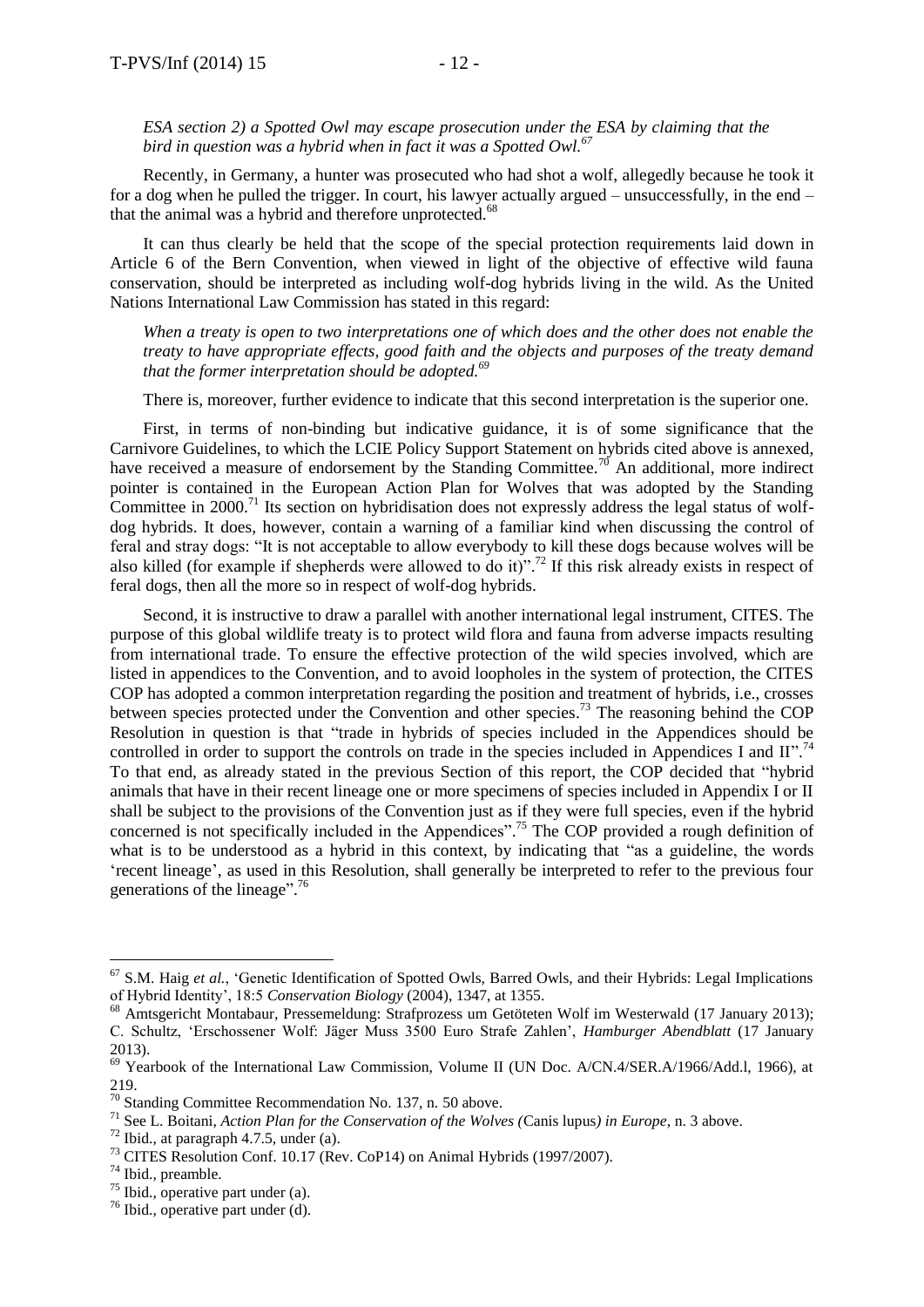#### *ESA section 2) a Spotted Owl may escape prosecution under the ESA by claiming that the bird in question was a hybrid when in fact it was a Spotted Owl.<sup>67</sup>*

Recently, in Germany, a hunter was prosecuted who had shot a wolf, allegedly because he took it for a dog when he pulled the trigger. In court, his lawyer actually argued – unsuccessfully, in the end – that the animal was a hybrid and therefore unprotected.<sup>68</sup>

It can thus clearly be held that the scope of the special protection requirements laid down in Article 6 of the Bern Convention, when viewed in light of the objective of effective wild fauna conservation, should be interpreted as including wolf-dog hybrids living in the wild. As the United Nations International Law Commission has stated in this regard:

*When a treaty is open to two interpretations one of which does and the other does not enable the treaty to have appropriate effects, good faith and the objects and purposes of the treaty demand that the former interpretation should be adopted.<sup>69</sup>*

There is, moreover, further evidence to indicate that this second interpretation is the superior one.

First, in terms of non-binding but indicative guidance, it is of some significance that the Carnivore Guidelines, to which the LCIE Policy Support Statement on hybrids cited above is annexed, have received a measure of endorsement by the Standing Committee.<sup>70</sup> An additional, more indirect pointer is contained in the European Action Plan for Wolves that was adopted by the Standing Committee in  $2000$ .<sup>71</sup> Its section on hybridisation does not expressly address the legal status of wolfdog hybrids. It does, however, contain a warning of a familiar kind when discussing the control of feral and stray dogs: "It is not acceptable to allow everybody to kill these dogs because wolves will be also killed (for example if shepherds were allowed to do it)".<sup>72</sup> If this risk already exists in respect of feral dogs, then all the more so in respect of wolf-dog hybrids.

Second, it is instructive to draw a parallel with another international legal instrument, CITES. The purpose of this global wildlife treaty is to protect wild flora and fauna from adverse impacts resulting from international trade. To ensure the effective protection of the wild species involved, which are listed in appendices to the Convention, and to avoid loopholes in the system of protection, the CITES COP has adopted a common interpretation regarding the position and treatment of hybrids, i.e., crosses between species protected under the Convention and other species.<sup>73</sup> The reasoning behind the COP Resolution in question is that "trade in hybrids of species included in the Appendices should be controlled in order to support the controls on trade in the species included in Appendices I and II".<sup>74</sup> To that end, as already stated in the previous Section of this report, the COP decided that "hybrid animals that have in their recent lineage one or more specimens of species included in Appendix I or II shall be subject to the provisions of the Convention just as if they were full species, even if the hybrid concerned is not specifically included in the Appendices".<sup>75</sup> The COP provided a rough definition of what is to be understood as a hybrid in this context, by indicating that "as a guideline, the words 'recent lineage', as used in this Resolution, shall generally be interpreted to refer to the previous four generations of the lineage".<sup>76</sup>

<sup>&</sup>lt;sup>67</sup> S.M. Haig *et al.*, 'Genetic Identification of Spotted Owls, Barred Owls, and their Hybrids: Legal Implications of Hybrid Identity', 18:5 *Conservation Biology* (2004), 1347, at 1355.

<sup>68</sup> Amtsgericht Montabaur, Pressemeldung: Strafprozess um Getöteten Wolf im Westerwald (17 January 2013); C. Schultz, 'Erschossener Wolf: Jäger Muss 3500 Euro Strafe Zahlen', *Hamburger Abendblatt* (17 January 2013).

<sup>69</sup> Yearbook of the International Law Commission, Volume II (UN Doc. A/CN.4/SER.A/1966/Add.l, 1966), at 219.

<sup>&</sup>lt;sup>70</sup> Standing Committee Recommendation No. 137, n. 50 above.

<sup>71</sup> See L. Boitani, *Action Plan for the Conservation of the Wolves (*Canis lupus*) in Europe*, n. 3 above.

 $72$  Ibid., at paragraph 4.7.5, under (a).

<sup>&</sup>lt;sup>73</sup> CITES Resolution Conf. 10.17 (Rev. CoP14) on Animal Hybrids (1997/2007).

<sup>74</sup> Ibid., preamble.

 $75$  Ibid., operative part under (a).

<sup>76</sup> Ibid., operative part under (d).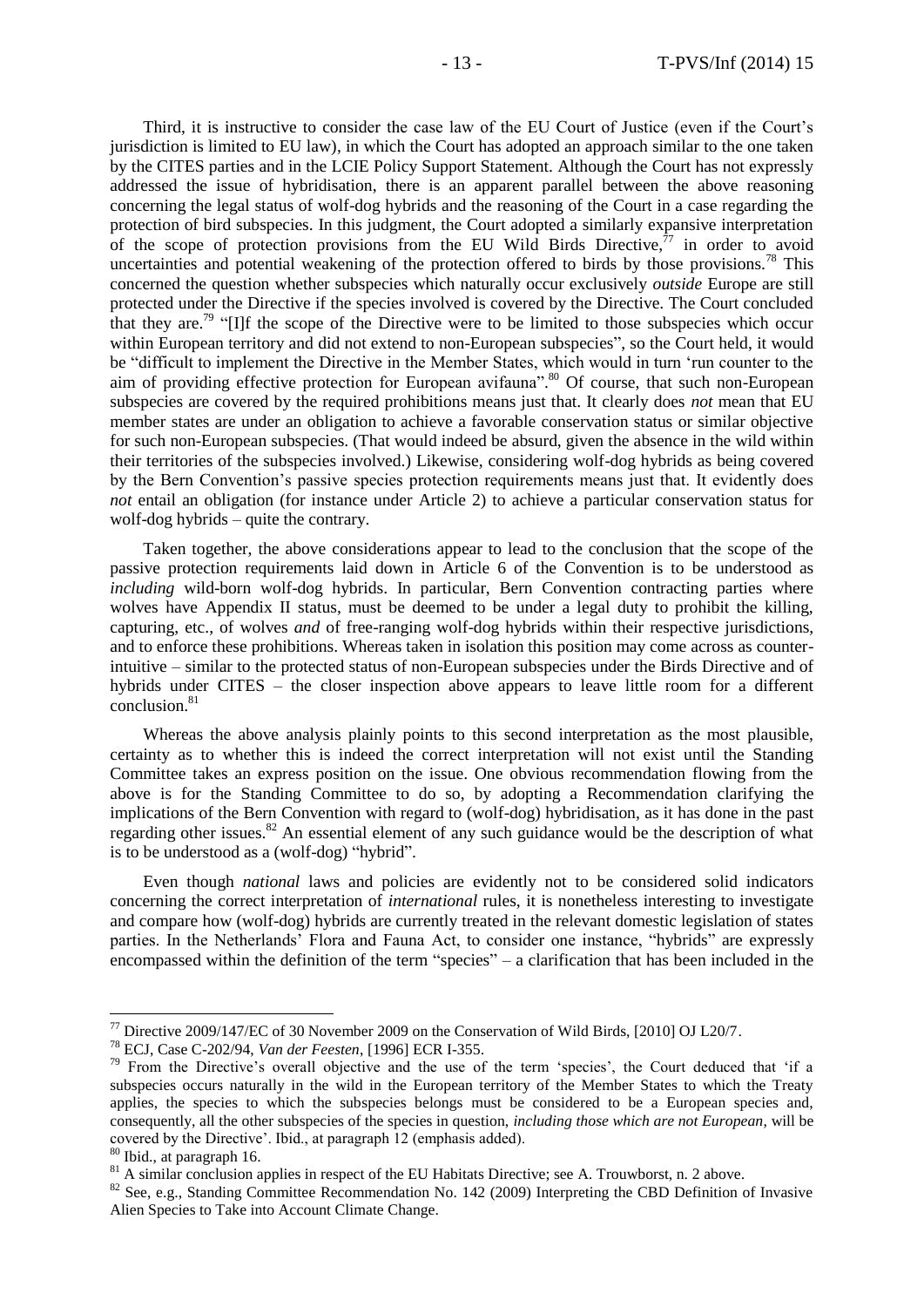Third, it is instructive to consider the case law of the EU Court of Justice (even if the Court's jurisdiction is limited to EU law), in which the Court has adopted an approach similar to the one taken by the CITES parties and in the LCIE Policy Support Statement. Although the Court has not expressly addressed the issue of hybridisation, there is an apparent parallel between the above reasoning concerning the legal status of wolf-dog hybrids and the reasoning of the Court in a case regarding the protection of bird subspecies. In this judgment, the Court adopted a similarly expansive interpretation of the scope of protection provisions from the EU Wild Birds Directive, $77$  in order to avoid uncertainties and potential weakening of the protection offered to birds by those provisions.<sup>78</sup> This concerned the question whether subspecies which naturally occur exclusively *outside* Europe are still protected under the Directive if the species involved is covered by the Directive. The Court concluded that they are.<sup>79</sup> "[I]f the scope of the Directive were to be limited to those subspecies which occur within European territory and did not extend to non-European subspecies", so the Court held, it would be "difficult to implement the Directive in the Member States, which would in turn 'run counter to the aim of providing effective protection for European avifauna".<sup>80</sup> Of course, that such non-European subspecies are covered by the required prohibitions means just that. It clearly does *not* mean that EU member states are under an obligation to achieve a favorable conservation status or similar objective for such non-European subspecies. (That would indeed be absurd, given the absence in the wild within their territories of the subspecies involved.) Likewise, considering wolf-dog hybrids as being covered by the Bern Convention's passive species protection requirements means just that. It evidently does *not* entail an obligation (for instance under Article 2) to achieve a particular conservation status for wolf-dog hybrids – quite the contrary.

Taken together, the above considerations appear to lead to the conclusion that the scope of the passive protection requirements laid down in Article 6 of the Convention is to be understood as *including* wild-born wolf-dog hybrids. In particular, Bern Convention contracting parties where wolves have Appendix II status, must be deemed to be under a legal duty to prohibit the killing, capturing, etc., of wolves *and* of free-ranging wolf-dog hybrids within their respective jurisdictions, and to enforce these prohibitions. Whereas taken in isolation this position may come across as counterintuitive – similar to the protected status of non-European subspecies under the Birds Directive and of hybrids under CITES – the closer inspection above appears to leave little room for a different conclusion.<sup>81</sup>

Whereas the above analysis plainly points to this second interpretation as the most plausible, certainty as to whether this is indeed the correct interpretation will not exist until the Standing Committee takes an express position on the issue. One obvious recommendation flowing from the above is for the Standing Committee to do so, by adopting a Recommendation clarifying the implications of the Bern Convention with regard to (wolf-dog) hybridisation, as it has done in the past regarding other issues.<sup>82</sup> An essential element of any such guidance would be the description of what is to be understood as a (wolf-dog) "hybrid".

Even though *national* laws and policies are evidently not to be considered solid indicators concerning the correct interpretation of *international* rules, it is nonetheless interesting to investigate and compare how (wolf-dog) hybrids are currently treated in the relevant domestic legislation of states parties. In the Netherlands' Flora and Fauna Act, to consider one instance, "hybrids" are expressly encompassed within the definition of the term "species" – a clarification that has been included in the

<sup>80</sup> Ibid., at paragraph 16.

<sup>77</sup> Directive 2009/147/EC of 30 November 2009 on the Conservation of Wild Birds, [2010] OJ L20/7.

<sup>78</sup> ECJ, Case C-202/94, *Van der Feesten*, [1996] ECR I-355.

<sup>&</sup>lt;sup>79</sup> From the Directive's overall objective and the use of the term 'species', the Court deduced that 'if a subspecies occurs naturally in the wild in the European territory of the Member States to which the Treaty applies, the species to which the subspecies belongs must be considered to be a European species and, consequently, all the other subspecies of the species in question, *including those which are not European*, will be covered by the Directive'. Ibid., at paragraph 12 (emphasis added).

 $81$  A similar conclusion applies in respect of the EU Habitats Directive; see A. Trouwborst, n. 2 above.

<sup>&</sup>lt;sup>82</sup> See, e.g., Standing Committee Recommendation No. 142 (2009) Interpreting the CBD Definition of Invasive Alien Species to Take into Account Climate Change.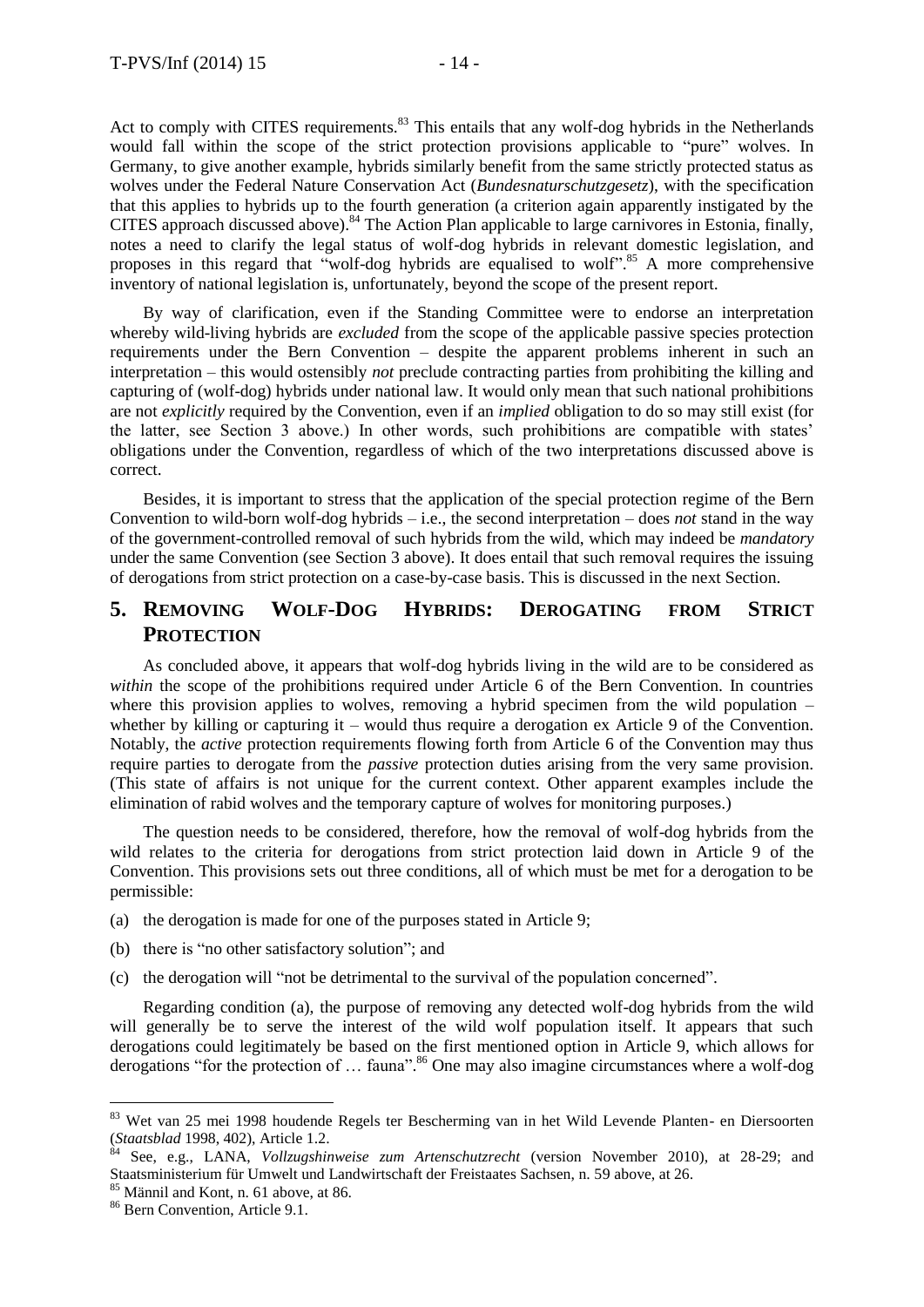Act to comply with CITES requirements.<sup>83</sup> This entails that any wolf-dog hybrids in the Netherlands would fall within the scope of the strict protection provisions applicable to "pure" wolves. In Germany, to give another example, hybrids similarly benefit from the same strictly protected status as wolves under the Federal Nature Conservation Act (*Bundesnaturschutzgesetz*), with the specification that this applies to hybrids up to the fourth generation (a criterion again apparently instigated by the CITES approach discussed above).<sup>84</sup> The Action Plan applicable to large carnivores in Estonia, finally, notes a need to clarify the legal status of wolf-dog hybrids in relevant domestic legislation, and proposes in this regard that "wolf-dog hybrids are equalised to wolf".<sup>85</sup> A more comprehensive inventory of national legislation is, unfortunately, beyond the scope of the present report.

By way of clarification, even if the Standing Committee were to endorse an interpretation whereby wild-living hybrids are *excluded* from the scope of the applicable passive species protection requirements under the Bern Convention – despite the apparent problems inherent in such an interpretation – this would ostensibly *not* preclude contracting parties from prohibiting the killing and capturing of (wolf-dog) hybrids under national law. It would only mean that such national prohibitions are not *explicitly* required by the Convention, even if an *implied* obligation to do so may still exist (for the latter, see Section 3 above.) In other words, such prohibitions are compatible with states' obligations under the Convention, regardless of which of the two interpretations discussed above is correct.

Besides, it is important to stress that the application of the special protection regime of the Bern Convention to wild-born wolf-dog hybrids – i.e., the second interpretation – does *not* stand in the way of the government-controlled removal of such hybrids from the wild, which may indeed be *mandatory* under the same Convention (see Section 3 above). It does entail that such removal requires the issuing of derogations from strict protection on a case-by-case basis. This is discussed in the next Section.

# **5. REMOVING WOLF-DOG HYBRIDS: DEROGATING FROM STRICT PROTECTION**

As concluded above, it appears that wolf-dog hybrids living in the wild are to be considered as *within* the scope of the prohibitions required under Article 6 of the Bern Convention. In countries where this provision applies to wolves, removing a hybrid specimen from the wild population  $$ whether by killing or capturing it – would thus require a derogation ex Article 9 of the Convention. Notably, the *active* protection requirements flowing forth from Article 6 of the Convention may thus require parties to derogate from the *passive* protection duties arising from the very same provision. (This state of affairs is not unique for the current context. Other apparent examples include the elimination of rabid wolves and the temporary capture of wolves for monitoring purposes.)

The question needs to be considered, therefore, how the removal of wolf-dog hybrids from the wild relates to the criteria for derogations from strict protection laid down in Article 9 of the Convention. This provisions sets out three conditions, all of which must be met for a derogation to be permissible:

- (a) the derogation is made for one of the purposes stated in Article 9;
- (b) there is "no other satisfactory solution"; and
- (c) the derogation will "not be detrimental to the survival of the population concerned".

Regarding condition (a), the purpose of removing any detected wolf-dog hybrids from the wild will generally be to serve the interest of the wild wolf population itself. It appears that such derogations could legitimately be based on the first mentioned option in Article 9, which allows for derogations "for the protection of ... fauna".<sup>86</sup> One may also imagine circumstances where a wolf-dog

<sup>83</sup> Wet van 25 mei 1998 houdende Regels ter Bescherming van in het Wild Levende Planten- en Diersoorten (*Staatsblad* 1998, 402), Article 1.2.

<sup>84</sup> See, e.g., LANA, *Vollzugshinweise zum Artenschutzrecht* (version November 2010), at 28-29; and Staatsministerium für Umwelt und Landwirtschaft der Freistaates Sachsen, n. 59 above, at 26.

<sup>85</sup> Männil and Kont, n. 61 above, at 86.

<sup>86</sup> Bern Convention, Article 9.1.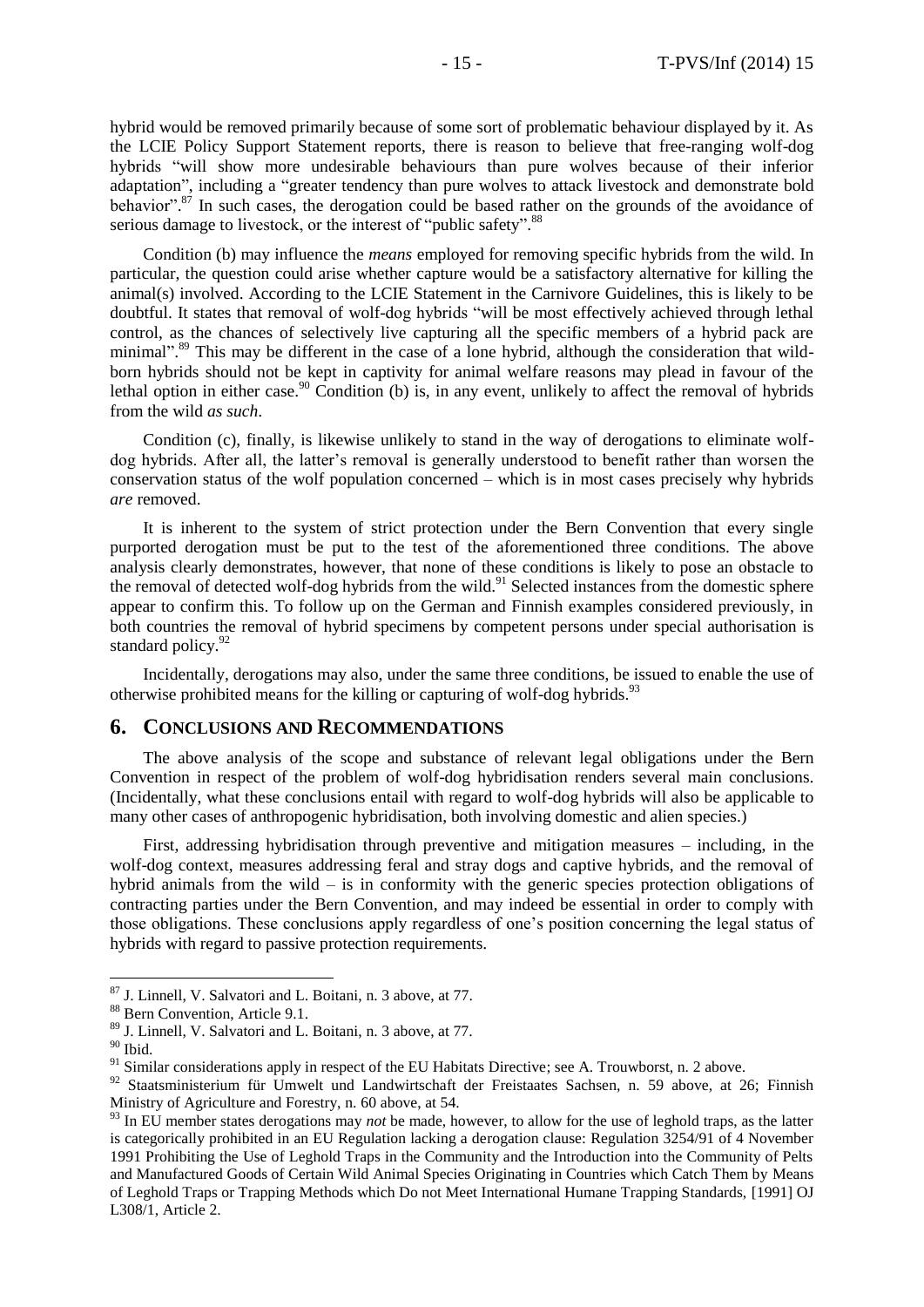hybrid would be removed primarily because of some sort of problematic behaviour displayed by it. As the LCIE Policy Support Statement reports, there is reason to believe that free-ranging wolf-dog hybrids "will show more undesirable behaviours than pure wolves because of their inferior adaptation", including a "greater tendency than pure wolves to attack livestock and demonstrate bold behavior".<sup>87</sup> In such cases, the derogation could be based rather on the grounds of the avoidance of serious damage to livestock, or the interest of "public safety".<sup>88</sup>

Condition (b) may influence the *means* employed for removing specific hybrids from the wild. In particular, the question could arise whether capture would be a satisfactory alternative for killing the animal(s) involved. According to the LCIE Statement in the Carnivore Guidelines, this is likely to be doubtful. It states that removal of wolf-dog hybrids "will be most effectively achieved through lethal control, as the chances of selectively live capturing all the specific members of a hybrid pack are minimal".<sup>89</sup> This may be different in the case of a lone hybrid, although the consideration that wildborn hybrids should not be kept in captivity for animal welfare reasons may plead in favour of the lethal option in either case.<sup>90</sup> Condition (b) is, in any event, unlikely to affect the removal of hybrids from the wild *as such*.

Condition (c), finally, is likewise unlikely to stand in the way of derogations to eliminate wolfdog hybrids. After all, the latter's removal is generally understood to benefit rather than worsen the conservation status of the wolf population concerned – which is in most cases precisely why hybrids *are* removed.

It is inherent to the system of strict protection under the Bern Convention that every single purported derogation must be put to the test of the aforementioned three conditions. The above analysis clearly demonstrates, however, that none of these conditions is likely to pose an obstacle to the removal of detected wolf-dog hybrids from the wild.<sup>91</sup> Selected instances from the domestic sphere appear to confirm this. To follow up on the German and Finnish examples considered previously, in both countries the removal of hybrid specimens by competent persons under special authorisation is standard policy.<sup>92</sup>

Incidentally, derogations may also, under the same three conditions, be issued to enable the use of otherwise prohibited means for the killing or capturing of wolf-dog hybrids.<sup>93</sup>

#### **6. CONCLUSIONS AND RECOMMENDATIONS**

The above analysis of the scope and substance of relevant legal obligations under the Bern Convention in respect of the problem of wolf-dog hybridisation renders several main conclusions. (Incidentally, what these conclusions entail with regard to wolf-dog hybrids will also be applicable to many other cases of anthropogenic hybridisation, both involving domestic and alien species.)

First, addressing hybridisation through preventive and mitigation measures – including, in the wolf-dog context, measures addressing feral and stray dogs and captive hybrids, and the removal of hybrid animals from the wild – is in conformity with the generic species protection obligations of contracting parties under the Bern Convention, and may indeed be essential in order to comply with those obligations. These conclusions apply regardless of one's position concerning the legal status of hybrids with regard to passive protection requirements.

 $^{90}$  Ibid.

<sup>87</sup> J. Linnell, V. Salvatori and L. Boitani, n. 3 above, at 77.

<sup>88</sup> Bern Convention, Article 9.1.

<sup>89</sup> J. Linnell, V. Salvatori and L. Boitani, n. 3 above, at 77.

<sup>&</sup>lt;sup>91</sup> Similar considerations apply in respect of the EU Habitats Directive; see A. Trouwborst, n. 2 above.

<sup>&</sup>lt;sup>92</sup> Staatsministerium für Umwelt und Landwirtschaft der Freistaates Sachsen, n. 59 above, at 26; Finnish Ministry of Agriculture and Forestry, n. 60 above, at 54.

 $\frac{93}{21}$  In EU member states derogations may *not* be made, however, to allow for the use of leghold traps, as the latter is categorically prohibited in an EU Regulation lacking a derogation clause: Regulation 3254/91 of 4 November 1991 Prohibiting the Use of Leghold Traps in the Community and the Introduction into the Community of Pelts and Manufactured Goods of Certain Wild Animal Species Originating in Countries which Catch Them by Means of Leghold Traps or Trapping Methods which Do not Meet International Humane Trapping Standards, [1991] OJ L308/1, Article 2.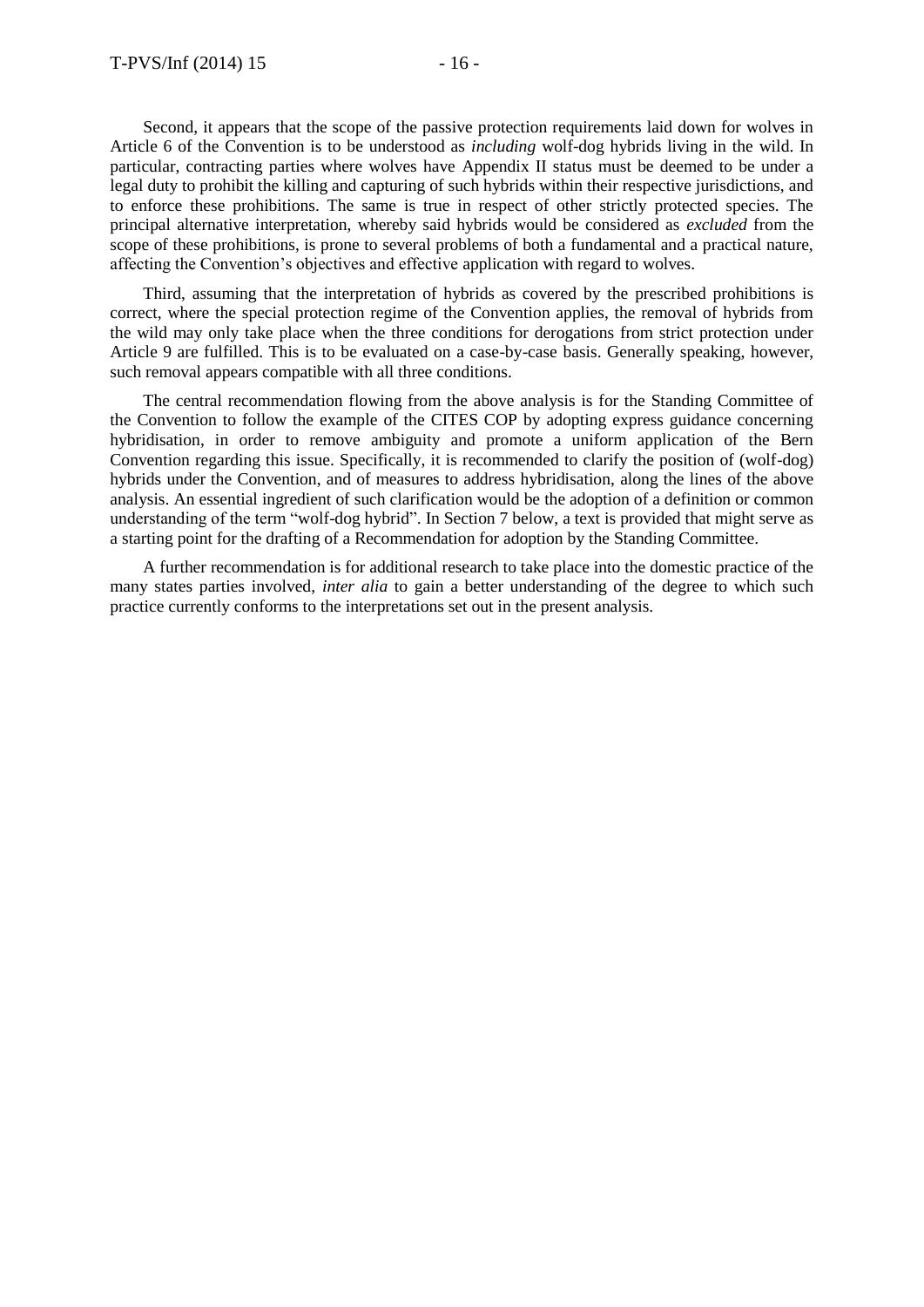Second, it appears that the scope of the passive protection requirements laid down for wolves in Article 6 of the Convention is to be understood as *including* wolf-dog hybrids living in the wild. In particular, contracting parties where wolves have Appendix II status must be deemed to be under a legal duty to prohibit the killing and capturing of such hybrids within their respective jurisdictions, and to enforce these prohibitions. The same is true in respect of other strictly protected species. The principal alternative interpretation, whereby said hybrids would be considered as *excluded* from the scope of these prohibitions, is prone to several problems of both a fundamental and a practical nature, affecting the Convention's objectives and effective application with regard to wolves.

Third, assuming that the interpretation of hybrids as covered by the prescribed prohibitions is correct, where the special protection regime of the Convention applies, the removal of hybrids from the wild may only take place when the three conditions for derogations from strict protection under Article 9 are fulfilled. This is to be evaluated on a case-by-case basis. Generally speaking, however, such removal appears compatible with all three conditions.

The central recommendation flowing from the above analysis is for the Standing Committee of the Convention to follow the example of the CITES COP by adopting express guidance concerning hybridisation, in order to remove ambiguity and promote a uniform application of the Bern Convention regarding this issue. Specifically, it is recommended to clarify the position of (wolf-dog) hybrids under the Convention, and of measures to address hybridisation, along the lines of the above analysis. An essential ingredient of such clarification would be the adoption of a definition or common understanding of the term "wolf-dog hybrid". In Section 7 below, a text is provided that might serve as a starting point for the drafting of a Recommendation for adoption by the Standing Committee.

A further recommendation is for additional research to take place into the domestic practice of the many states parties involved, *inter alia* to gain a better understanding of the degree to which such practice currently conforms to the interpretations set out in the present analysis.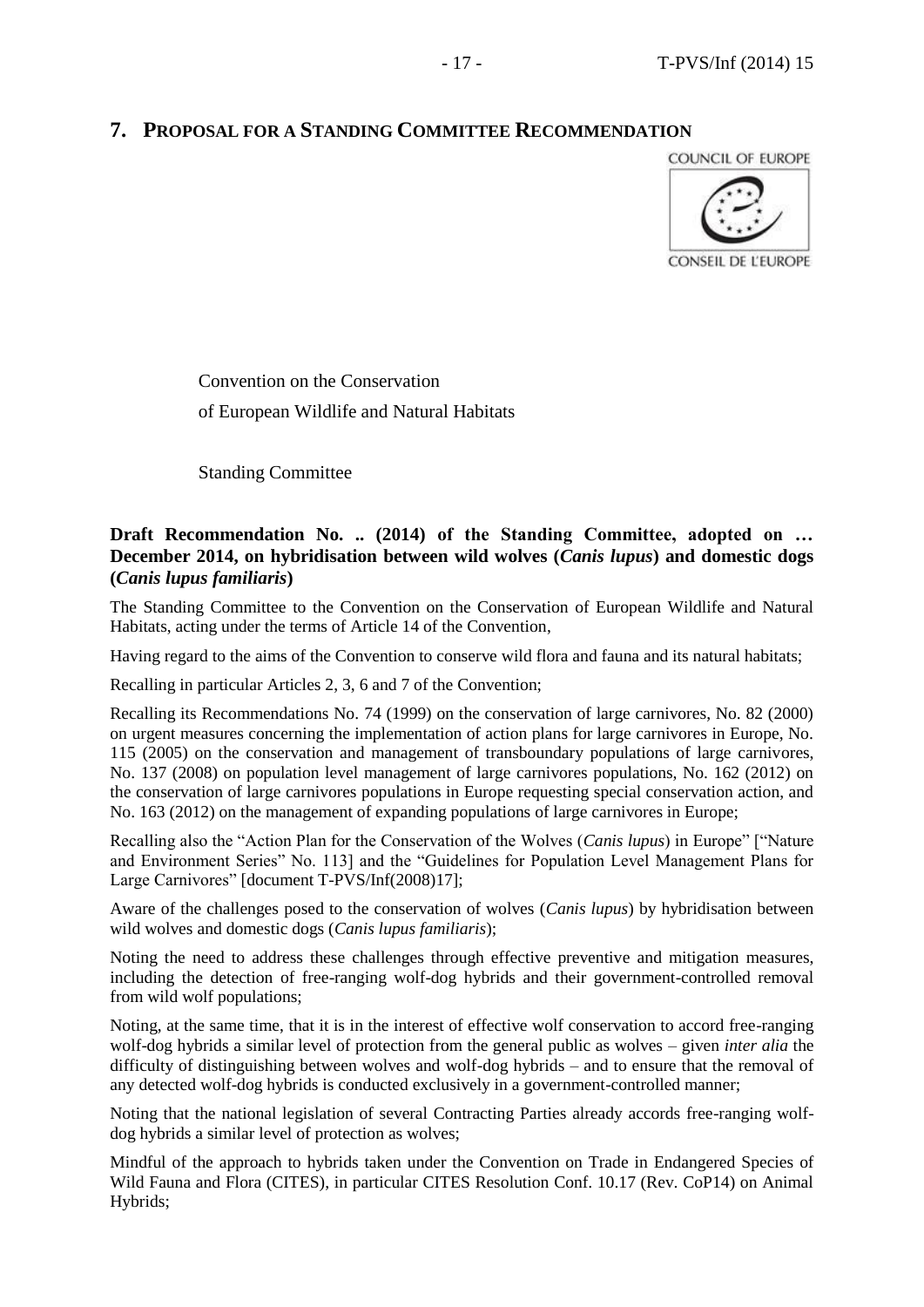# **7. PROPOSAL FOR A STANDING COMMITTEE RECOMMENDATION**



Convention on the Conservation of European Wildlife and Natural Habitats

Standing Committee

## **Draft Recommendation No. .. (2014) of the Standing Committee, adopted on … December 2014, on hybridisation between wild wolves (***Canis lupus***) and domestic dogs (***Canis lupus familiaris***)**

The Standing Committee to the Convention on the Conservation of European Wildlife and Natural Habitats, acting under the terms of Article 14 of the Convention,

Having regard to the aims of the Convention to conserve wild flora and fauna and its natural habitats;

Recalling in particular Articles 2, 3, 6 and 7 of the Convention;

Recalling its Recommendations No. 74 (1999) on the conservation of large carnivores, No. 82 (2000) on urgent measures concerning the implementation of action plans for large carnivores in Europe, No. 115 (2005) on the conservation and management of transboundary populations of large carnivores, No. 137 (2008) on population level management of large carnivores populations, No. 162 (2012) on the conservation of large carnivores populations in Europe requesting special conservation action, and No. 163 (2012) on the management of expanding populations of large carnivores in Europe;

Recalling also the "Action Plan for the Conservation of the Wolves (*Canis lupus*) in Europe" ["Nature and Environment Series" No. 113] and the "Guidelines for Population Level Management Plans for Large Carnivores" [document T-PVS/Inf(2008)17];

Aware of the challenges posed to the conservation of wolves (*Canis lupus*) by hybridisation between wild wolves and domestic dogs (*Canis lupus familiaris*);

Noting the need to address these challenges through effective preventive and mitigation measures, including the detection of free-ranging wolf-dog hybrids and their government-controlled removal from wild wolf populations;

Noting, at the same time, that it is in the interest of effective wolf conservation to accord free-ranging wolf-dog hybrids a similar level of protection from the general public as wolves – given *inter alia* the difficulty of distinguishing between wolves and wolf-dog hybrids – and to ensure that the removal of any detected wolf-dog hybrids is conducted exclusively in a government-controlled manner;

Noting that the national legislation of several Contracting Parties already accords free-ranging wolfdog hybrids a similar level of protection as wolves;

Mindful of the approach to hybrids taken under the Convention on Trade in Endangered Species of Wild Fauna and Flora (CITES), in particular CITES Resolution Conf. 10.17 (Rev. CoP14) on Animal Hybrids;